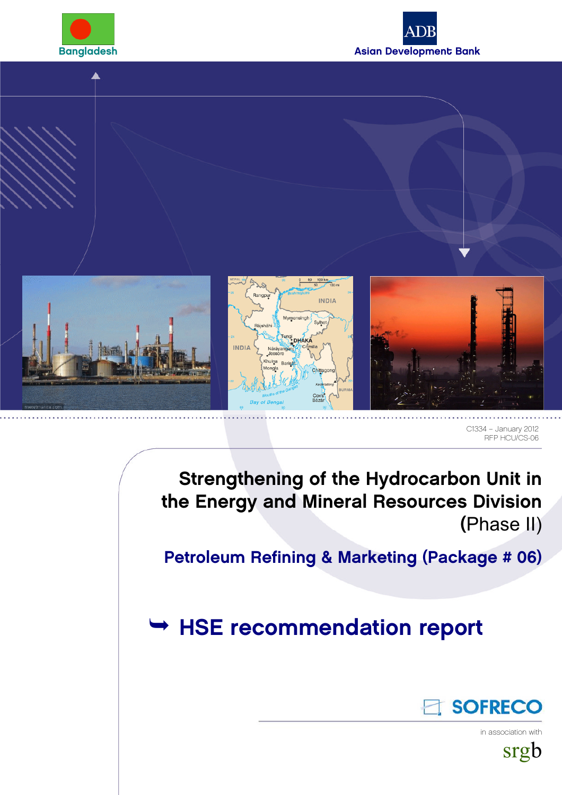





C1334 – January 2012 RFP HCU/CS-06

Strengthening of the Hydrocarbon Unit in the Energy and Mineral Resources Division (Phase II)

Petroleum Refining & Marketing (Package # 06)

HSE recommendation report



in association with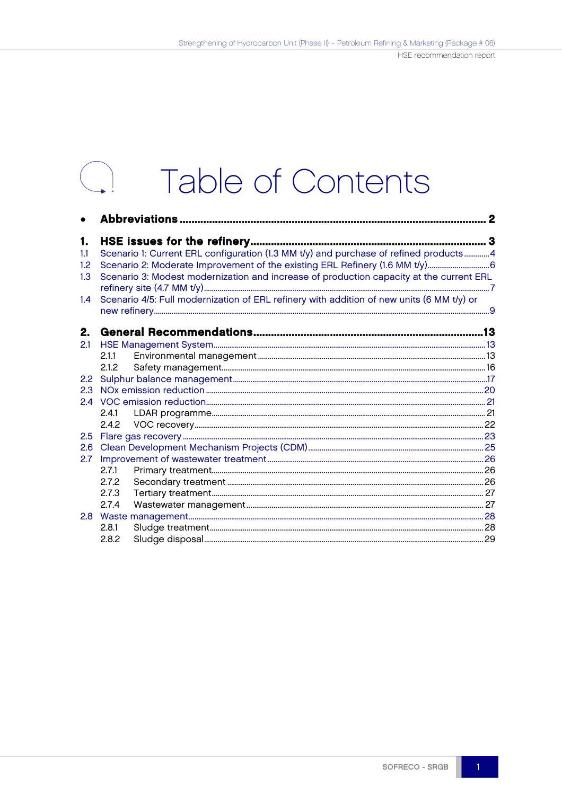# Table of Contents

| 1.            |                                                                                           |  |
|---------------|-------------------------------------------------------------------------------------------|--|
| 1.1           | Scenario 1: Current ERL configuration (1.3 MM t/y) and purchase of refined products4      |  |
| 1.2           |                                                                                           |  |
| 1.3           | Scenario 3: Modest modernization and increase of production capacity at the current ERL   |  |
| 1.4           | Scenario 4/5: Full modernization of ERL refinery with addition of new units (6 MM t/y) or |  |
|               |                                                                                           |  |
|               |                                                                                           |  |
| 2.            |                                                                                           |  |
| 2.1           |                                                                                           |  |
|               | 2.1.1                                                                                     |  |
|               | 2.1.2                                                                                     |  |
| $2.2^{\circ}$ |                                                                                           |  |
|               |                                                                                           |  |
|               |                                                                                           |  |
|               | 2.4.1                                                                                     |  |
|               | 2.4.2                                                                                     |  |
| 2.5           |                                                                                           |  |
| 2.6           |                                                                                           |  |
| 2.7           |                                                                                           |  |
|               | 2.7.1                                                                                     |  |
|               | 2.7.2                                                                                     |  |
|               | 2.7.3                                                                                     |  |
|               | 2.7.4                                                                                     |  |
|               |                                                                                           |  |
|               | 2.8.1                                                                                     |  |
|               | 2.8.2                                                                                     |  |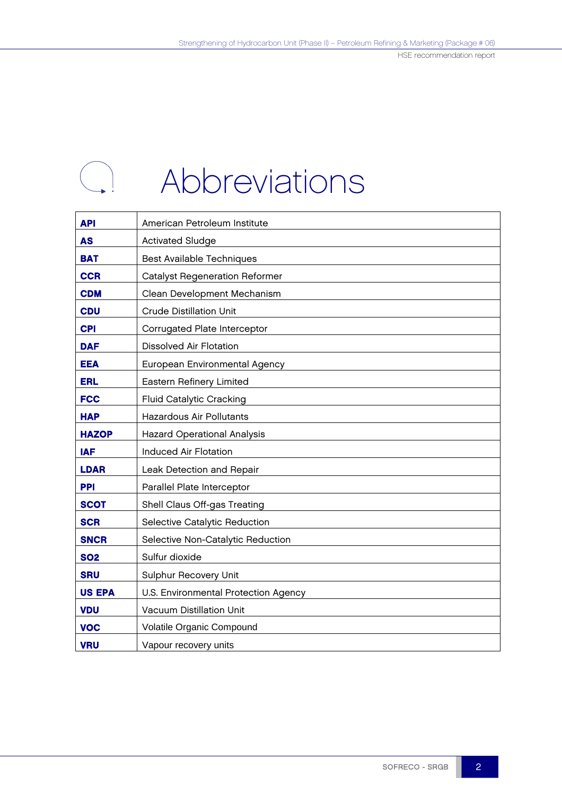# Abbreviations

| <b>API</b>    | American Petroleum Institute          |
|---------------|---------------------------------------|
| <b>AS</b>     | <b>Activated Sludge</b>               |
| <b>BAT</b>    | <b>Best Available Techniques</b>      |
| <b>CCR</b>    | <b>Catalyst Regeneration Reformer</b> |
| <b>CDM</b>    | Clean Development Mechanism           |
| <b>CDU</b>    | <b>Crude Distillation Unit</b>        |
| <b>CPI</b>    | Corrugated Plate Interceptor          |
| <b>DAF</b>    | <b>Dissolved Air Flotation</b>        |
| <b>EEA</b>    | European Environmental Agency         |
| <b>ERL</b>    | Eastern Refinery Limited              |
| <b>FCC</b>    | Fluid Catalytic Cracking              |
| <b>HAP</b>    | Hazardous Air Pollutants              |
| <b>HAZOP</b>  | <b>Hazard Operational Analysis</b>    |
| <b>IAF</b>    | <b>Induced Air Flotation</b>          |
| <b>LDAR</b>   | Leak Detection and Repair             |
| <b>PPI</b>    | Parallel Plate Interceptor            |
| <b>SCOT</b>   | Shell Claus Off-gas Treating          |
| <b>SCR</b>    | Selective Catalytic Reduction         |
| <b>SNCR</b>   | Selective Non-Catalytic Reduction     |
| <b>SO2</b>    | Sulfur dioxide                        |
| <b>SRU</b>    | Sulphur Recovery Unit                 |
| <b>US EPA</b> | U.S. Environmental Protection Agency  |
| <b>VDU</b>    | Vacuum Distillation Unit              |
| <b>VOC</b>    | Volatile Organic Compound             |
| <b>VRU</b>    | Vapour recovery units                 |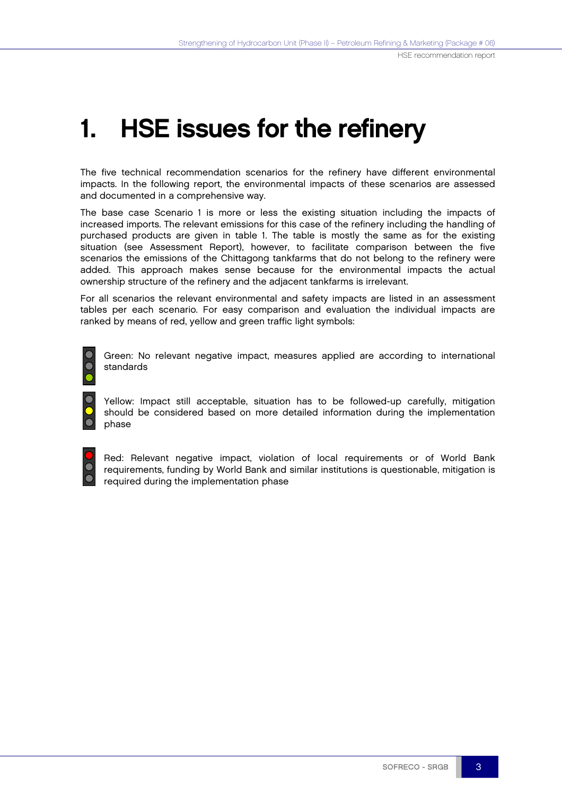# 1. HSE issues for the refinery

The five technical recommendation scenarios for the refinery have different environmental impacts. In the following report, the environmental impacts of these scenarios are assessed and documented in a comprehensive way.

The base case Scenario 1 is more or less the existing situation including the impacts of increased imports. The relevant emissions for this case of the refinery including the handling of purchased products are given in table 1. The table is mostly the same as for the existing situation (see Assessment Report), however, to facilitate comparison between the five scenarios the emissions of the Chittagong tankfarms that do not belong to the refinery were added. This approach makes sense because for the environmental impacts the actual ownership structure of the refinery and the adjacent tankfarms is irrelevant.

For all scenarios the relevant environmental and safety impacts are listed in an assessment tables per each scenario. For easy comparison and evaluation the individual impacts are ranked by means of red, yellow and green traffic light symbols:

Green: No relevant negative impact, measures applied are according to international standards

Yellow: Impact still acceptable, situation has to be followed-up carefully, mitigation should be considered based on more detailed information during the implementation phase

Red: Relevant negative impact, violation of local requirements or of World Bank requirements, funding by World Bank and similar institutions is questionable, mitigation is required during the implementation phase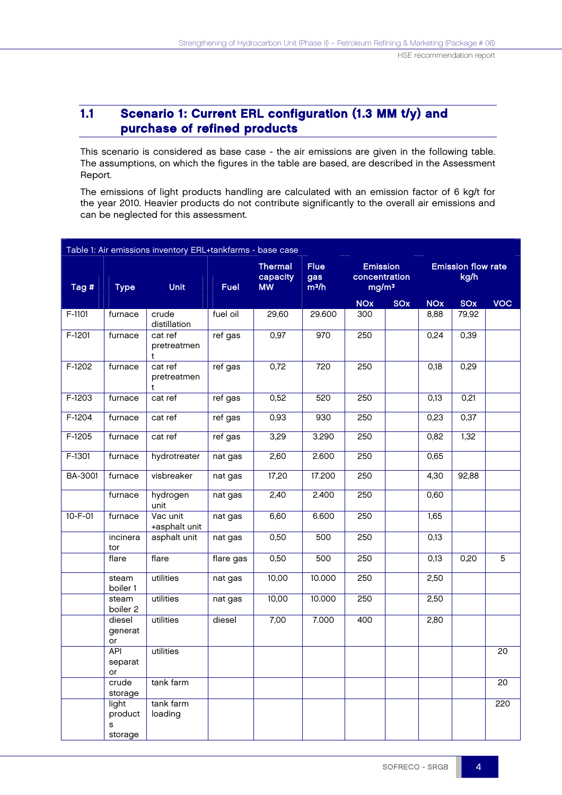# 1.1 Scenario 1: Current ERL configuration (1.3 MM t/y) and purchase of refined products

This scenario is considered as base case - the air emissions are given in the following table. The assumptions, on which the figures in the table are based, are described in the Assessment Report.

The emissions of light products handling are calculated with an emission factor of 6 kg/t for the year 2010. Heavier products do not contribute significantly to the overall air emissions and can be neglected for this assessment.

|               | Table 1: Air emissions inventory ERL+tankfarms - base case |                             |             |                                         |                               |                                                       |            |                                   |            |            |  |
|---------------|------------------------------------------------------------|-----------------------------|-------------|-----------------------------------------|-------------------------------|-------------------------------------------------------|------------|-----------------------------------|------------|------------|--|
| Tag #         | Unit<br><b>Type</b>                                        |                             | <b>Fuel</b> | <b>Thermal</b><br>capacity<br><b>MW</b> | <b>Flue</b><br>gas<br>$m^3/h$ | <b>Emission</b><br>concentration<br>mg/m <sup>3</sup> |            | <b>Emission flow rate</b><br>kg/h |            |            |  |
|               |                                                            |                             |             |                                         |                               | <b>NOx</b>                                            | <b>SOx</b> | <b>NOx</b>                        | <b>SOx</b> | <b>VOC</b> |  |
| F-1101        | furnace                                                    | crude<br>distillation       | fuel oil    | 29,60                                   | 29.600                        | 300                                                   |            | 8,88                              | 79,92      |            |  |
| F-1201        | furnace                                                    | cat ref<br>pretreatmen<br>t | ref gas     | 0,97                                    | 970                           | 250                                                   |            | 0,24                              | 0,39       |            |  |
| F-1202        | furnace                                                    | cat ref<br>pretreatmen<br>t | ref gas     | 0,72                                    | 720                           | 250                                                   |            | 0,18                              | 0,29       |            |  |
| F-1203        | furnace                                                    | cat ref                     | ref gas     | 0,52                                    | 520                           | 250                                                   |            | 0,13                              | 0,21       |            |  |
| F-1204        | furnace                                                    | cat ref                     | ref gas     | 0,93                                    | 930                           | 250                                                   |            | 0,23                              | 0,37       |            |  |
| F-1205        | furnace                                                    | cat ref                     | ref gas     | 3,29                                    | 3.290                         | 250                                                   |            | 0,82                              | 1,32       |            |  |
| F-1301        | furnace                                                    | hydrotreater                | nat gas     | 2,60                                    | 2.600                         | 250                                                   |            | 0,65                              |            |            |  |
| BA-3001       | furnace                                                    | visbreaker                  | nat gas     | 17,20                                   | 17.200                        | 250                                                   |            | 4,30                              | 92,88      |            |  |
|               | furnace                                                    | hydrogen<br>unit            | nat gas     | 2,40                                    | 2.400                         | 250                                                   |            | 0,60                              |            |            |  |
| $10 - F - 01$ | furnace                                                    | Vac unit<br>+asphalt unit   | nat gas     | 6,60                                    | 6.600                         | 250                                                   |            | 1,65                              |            |            |  |
|               | incinera<br>tor                                            | asphalt unit                | nat gas     | 0,50                                    | 500                           | 250                                                   |            | 0,13                              |            |            |  |
|               | flare                                                      | flare                       | flare gas   | 0,50                                    | 500                           | 250                                                   |            | 0,13                              | 0,20       | 5          |  |
|               | steam<br>boiler 1                                          | utilities                   | nat gas     | 10,00                                   | 10.000                        | 250                                                   |            | 2,50                              |            |            |  |
|               | steam<br>boiler 2                                          | utilities                   | nat gas     | 10,00                                   | 10.000                        | 250                                                   |            | 2,50                              |            |            |  |
|               | diesel<br>generat<br>or                                    | utilities                   | diesel      | 7,00                                    | 7.000                         | 400                                                   |            | 2,80                              |            |            |  |
|               | <b>API</b><br>separat<br>or                                | utilities                   |             |                                         |                               |                                                       |            |                                   |            | 20         |  |
|               | crude<br>storage                                           | tank farm                   |             |                                         |                               |                                                       |            |                                   |            | 20         |  |
|               | light<br>product<br>s<br>storage                           | tank farm<br>loading        |             |                                         |                               |                                                       |            |                                   |            | 220        |  |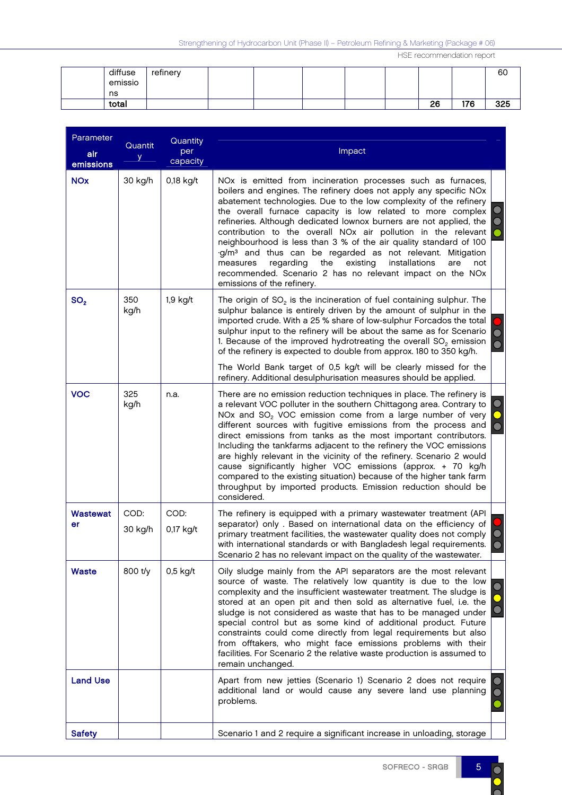| diffuse | refinery |  |  |    |     | юU  |
|---------|----------|--|--|----|-----|-----|
| emissio |          |  |  |    |     |     |
| ns      |          |  |  |    |     |     |
| total   |          |  |  | 26 | 176 | 325 |

| Parameter<br>air<br>emissions | Quantit<br>y    | Quantity<br>per<br>capacity | Impact                                                                                                                                                                                                                                                                                                                                                                                                                                                                                                                                                                                                                                                                                                                                                                                               |  |
|-------------------------------|-----------------|-----------------------------|------------------------------------------------------------------------------------------------------------------------------------------------------------------------------------------------------------------------------------------------------------------------------------------------------------------------------------------------------------------------------------------------------------------------------------------------------------------------------------------------------------------------------------------------------------------------------------------------------------------------------------------------------------------------------------------------------------------------------------------------------------------------------------------------------|--|
| <b>NOx</b>                    | 30 kg/h         | $0,18$ kg/t                 | NOx is emitted from incineration processes such as furnaces,<br>boilers and engines. The refinery does not apply any specific NOx<br>abatement technologies. Due to the low complexity of the refinery<br>the overall furnace capacity is low related to more complex<br>refineries. Although dedicated lownox burners are not applied, the<br>contribution to the overall NOx air pollution in the relevant<br>neighbourhood is less than 3 % of the air quality standard of 100<br>g/m <sup>3</sup> and thus can be regarded as not relevant. Mitigation<br>regarding<br>the<br>existing<br>installations<br>measures<br>are<br>not<br>recommended. Scenario 2 has no relevant impact on the NOx<br>emissions of the refinery.                                                                     |  |
| SO <sub>2</sub>               | 350<br>kg/h     | $1,9$ kg/t                  | The origin of $SO2$ is the incineration of fuel containing sulphur. The<br>sulphur balance is entirely driven by the amount of sulphur in the<br>imported crude. With a 25 % share of low-sulphur Forcados the total<br>sulphur input to the refinery will be about the same as for Scenario<br>1. Because of the improved hydrotreating the overall $SO2$ emission<br>of the refinery is expected to double from approx. 180 to 350 kg/h.<br>The World Bank target of 0,5 kg/t will be clearly missed for the                                                                                                                                                                                                                                                                                       |  |
| <b>VOC</b>                    | 325<br>kg/h     | n.a.                        | refinery. Additional desulphurisation measures should be applied.<br>There are no emission reduction techniques in place. The refinery is<br>a relevant VOC polluter in the southern Chittagong area. Contrary to<br>NOx and SO <sub>2</sub> VOC emission come from a large number of very<br>different sources with fugitive emissions from the process and<br>direct emissions from tanks as the most important contributors.<br>Including the tankfarms adjacent to the refinery the VOC emissions<br>are highly relevant in the vicinity of the refinery. Scenario 2 would<br>cause significantly higher VOC emissions (approx. + 70 kg/h<br>compared to the existing situation) because of the higher tank farm<br>throughput by imported products. Emission reduction should be<br>considered. |  |
| <b>Wastewat</b><br>er         | COD:<br>30 kg/h | COD:<br>$0,17$ kg/t         | The refinery is equipped with a primary wastewater treatment (API<br>separator) only . Based on international data on the efficiency of<br>primary treatment facilities, the wastewater quality does not comply<br>with international standards or with Bangladesh legal requirements.<br>Scenario 2 has no relevant impact on the quality of the wastewater.                                                                                                                                                                                                                                                                                                                                                                                                                                        |  |
| <b>Waste</b>                  | 800 t/y         | $0,5$ kg/t                  | Oily sludge mainly from the API separators are the most relevant<br>source of waste. The relatively low quantity is due to the low<br>complexity and the insufficient wastewater treatment. The sludge is<br>stored at an open pit and then sold as alternative fuel, i.e. the<br>sludge is not considered as waste that has to be managed under<br>special control but as some kind of additional product. Future<br>constraints could come directly from legal requirements but also<br>from offtakers, who might face emissions problems with their<br>facilities. For Scenario 2 the relative waste production is assumed to<br>remain unchanged.                                                                                                                                                |  |
| <b>Land Use</b>               |                 |                             | Apart from new jetties (Scenario 1) Scenario 2 does not require<br>additional land or would cause any severe land use planning<br>problems.                                                                                                                                                                                                                                                                                                                                                                                                                                                                                                                                                                                                                                                          |  |
| <b>Safety</b>                 |                 |                             | Scenario 1 and 2 require a significant increase in unloading, storage                                                                                                                                                                                                                                                                                                                                                                                                                                                                                                                                                                                                                                                                                                                                |  |

 $\bullet$  $\bar{\mathbf{O}}$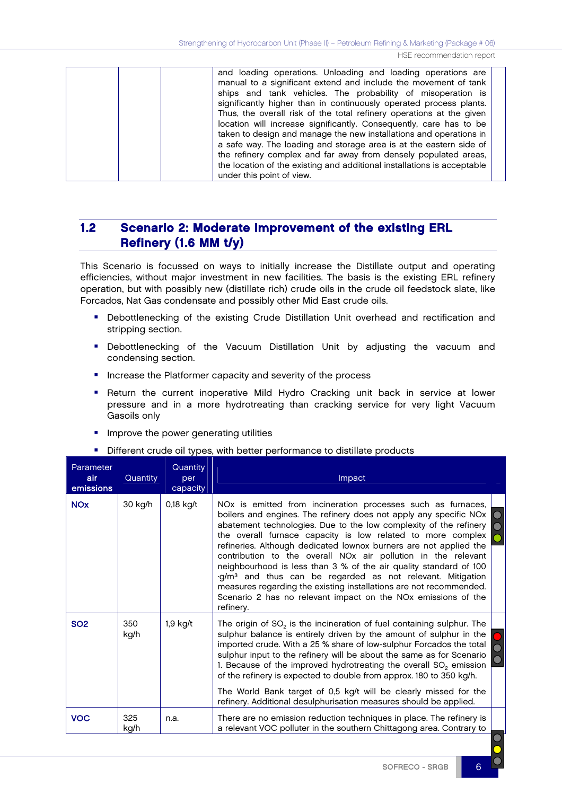|  | and loading operations. Unloading and loading operations are<br>manual to a significant extend and include the movement of tank<br>ships and tank vehicles. The probability of misoperation is<br>significantly higher than in continuously operated process plants.<br>Thus, the overall risk of the total refinery operations at the given<br>location will increase significantly. Consequently, care has to be<br>taken to design and manage the new installations and operations in<br>a safe way. The loading and storage area is at the eastern side of<br>the refinery complex and far away from densely populated areas,<br>the location of the existing and additional installations is acceptable<br>under this point of view. |
|--|-------------------------------------------------------------------------------------------------------------------------------------------------------------------------------------------------------------------------------------------------------------------------------------------------------------------------------------------------------------------------------------------------------------------------------------------------------------------------------------------------------------------------------------------------------------------------------------------------------------------------------------------------------------------------------------------------------------------------------------------|
|--|-------------------------------------------------------------------------------------------------------------------------------------------------------------------------------------------------------------------------------------------------------------------------------------------------------------------------------------------------------------------------------------------------------------------------------------------------------------------------------------------------------------------------------------------------------------------------------------------------------------------------------------------------------------------------------------------------------------------------------------------|

# 1.2 Scenario 2: Moderate Improvement of the existing ERL Refinery (1.6 MM t/y)

This Scenario is focussed on ways to initially increase the Distillate output and operating efficiencies, without major investment in new facilities. The basis is the existing ERL refinery operation, but with possibly new (distillate rich) crude oils in the crude oil feedstock slate, like Forcados, Nat Gas condensate and possibly other Mid East crude oils.

- **•** Debottlenecking of the existing Crude Distillation Unit overhead and rectification and stripping section.
- Debottlenecking of the Vacuum Distillation Unit by adjusting the vacuum and condensing section.
- **Increase the Platformer capacity and severity of the process**
- **Return the current inoperative Mild Hydro Cracking unit back in service at lower** pressure and in a more hydrotreating than cracking service for very light Vacuum Gasoils only
- **Improve the power generating utilities**
- **•** Different crude oil types, with better performance to distillate products

| <b>Parameter</b><br>air<br>emissions | Quantity    | Quantity<br>per<br>capacity | <b>Impact</b>                                                                                                                                                                                                                                                                                                                                                                                                                                                                                                                                                                                                                                                                                                 |
|--------------------------------------|-------------|-----------------------------|---------------------------------------------------------------------------------------------------------------------------------------------------------------------------------------------------------------------------------------------------------------------------------------------------------------------------------------------------------------------------------------------------------------------------------------------------------------------------------------------------------------------------------------------------------------------------------------------------------------------------------------------------------------------------------------------------------------|
| <b>NO<sub>x</sub></b>                | 30 kg/h     | $0,18$ kg/t                 | NOx is emitted from incineration processes such as furnaces,<br>boilers and engines. The refinery does not apply any specific NOx<br>abatement technologies. Due to the low complexity of the refinery<br>the overall furnace capacity is low related to more complex<br>refineries. Although dedicated lownox burners are not applied the<br>contribution to the overall NOx air pollution in the relevant<br>neighbourhood is less than 3 % of the air quality standard of 100<br>g/m <sup>3</sup> and thus can be regarded as not relevant. Mitigation<br>measures regarding the existing installations are not recommended.<br>Scenario 2 has no relevant impact on the NOx emissions of the<br>refinery. |
| SO <sub>2</sub>                      | 350<br>kg/h | $1,9$ kg/t                  | The origin of $SO2$ is the incineration of fuel containing sulphur. The<br>sulphur balance is entirely driven by the amount of sulphur in the<br>imported crude. With a 25 % share of low-sulphur Forcados the total<br>sulphur input to the refinery will be about the same as for Scenario<br>1. Because of the improved hydrotreating the overall SO <sub>2</sub> emission<br>of the refinery is expected to double from approx. 180 to 350 kg/h.<br>The World Bank target of 0,5 kg/t will be clearly missed for the<br>refinery. Additional desulphurisation measures should be applied.                                                                                                                 |
| <b>VOC</b>                           | 325<br>kg/h | n.a.                        | There are no emission reduction techniques in place. The refinery is<br>a relevant VOC polluter in the southern Chittagong area. Contrary to                                                                                                                                                                                                                                                                                                                                                                                                                                                                                                                                                                  |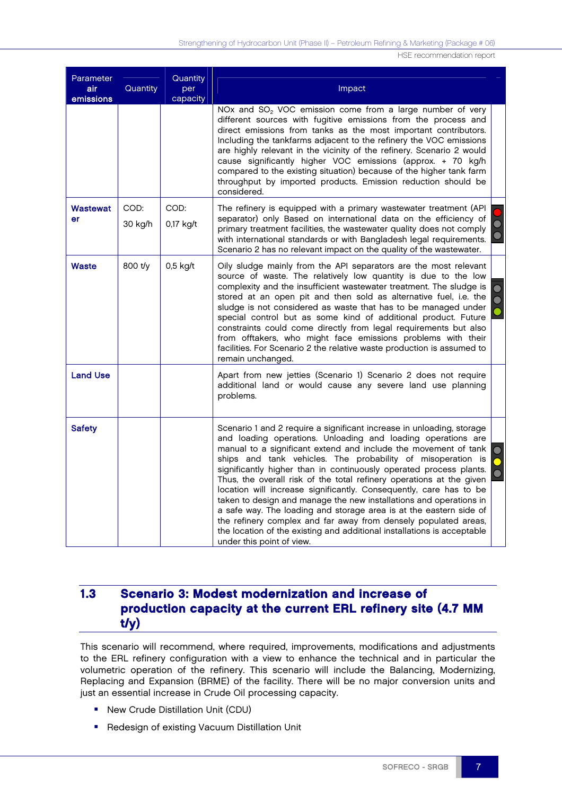| Parameter<br>air<br>emissions | Quantity        | Quantity<br>per<br>capacity | Impact                                                                                                                                                                                                                                                                                                                                                                                                                                                                                                                                                                                                                                                                                                                                                                                                             |
|-------------------------------|-----------------|-----------------------------|--------------------------------------------------------------------------------------------------------------------------------------------------------------------------------------------------------------------------------------------------------------------------------------------------------------------------------------------------------------------------------------------------------------------------------------------------------------------------------------------------------------------------------------------------------------------------------------------------------------------------------------------------------------------------------------------------------------------------------------------------------------------------------------------------------------------|
|                               |                 |                             | NOx and SO <sub>2</sub> VOC emission come from a large number of very<br>different sources with fugitive emissions from the process and<br>direct emissions from tanks as the most important contributors.<br>Including the tankfarms adjacent to the refinery the VOC emissions<br>are highly relevant in the vicinity of the refinery. Scenario 2 would<br>cause significantly higher VOC emissions (approx. + 70 kg/h<br>compared to the existing situation) because of the higher tank farm<br>throughput by imported products. Emission reduction should be<br>considered.                                                                                                                                                                                                                                    |
| <b>Wastewat</b><br>er         | COD:<br>30 kg/h | COD:<br>$0,17$ kg/t         | The refinery is equipped with a primary wastewater treatment (API<br>separator) only Based on international data on the efficiency of<br>primary treatment facilities, the wastewater quality does not comply<br>with international standards or with Bangladesh legal requirements.<br>Scenario 2 has no relevant impact on the quality of the wastewater.                                                                                                                                                                                                                                                                                                                                                                                                                                                        |
| <b>Waste</b>                  | 800 t/y         | $0,5$ kg/t                  | Oily sludge mainly from the API separators are the most relevant<br>source of waste. The relatively low quantity is due to the low<br>complexity and the insufficient wastewater treatment. The sludge is<br>stored at an open pit and then sold as alternative fuel, i.e. the<br>sludge is not considered as waste that has to be managed under<br>special control but as some kind of additional product. Future<br>constraints could come directly from legal requirements but also<br>from offtakers, who might face emissions problems with their<br>facilities. For Scenario 2 the relative waste production is assumed to<br>remain unchanged.                                                                                                                                                              |
| <b>Land Use</b>               |                 |                             | Apart from new jetties (Scenario 1) Scenario 2 does not require<br>additional land or would cause any severe land use planning<br>problems.                                                                                                                                                                                                                                                                                                                                                                                                                                                                                                                                                                                                                                                                        |
| <b>Safety</b>                 |                 |                             | Scenario 1 and 2 require a significant increase in unloading, storage<br>and loading operations. Unloading and loading operations are<br>manual to a significant extend and include the movement of tank<br>ships and tank vehicles. The probability of misoperation is<br>significantly higher than in continuously operated process plants.<br>Thus, the overall risk of the total refinery operations at the given<br>location will increase significantly. Consequently, care has to be<br>taken to design and manage the new installations and operations in<br>a safe way. The loading and storage area is at the eastern side of<br>the refinery complex and far away from densely populated areas,<br>the location of the existing and additional installations is acceptable<br>under this point of view. |

# 1.3 Scenario 3: Modest modernization and increase of production capacity at the current ERL refinery site (4.7 MM t/y)

This scenario will recommend, where required, improvements, modifications and adjustments to the ERL refinery configuration with a view to enhance the technical and in particular the volumetric operation of the refinery. This scenario will include the Balancing, Modernizing, Replacing and Expansion (BRME) of the facility. There will be no major conversion units and just an essential increase in Crude Oil processing capacity.

- New Crude Distillation Unit (CDU)
- **Redesign of existing Vacuum Distillation Unit**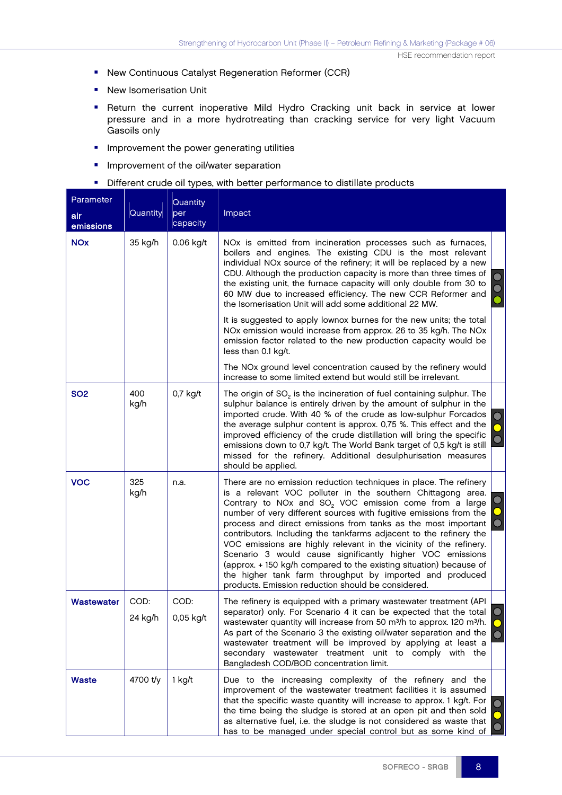- **New Continuous Catalyst Regeneration Reformer (CCR)**
- **New Isomerisation Unit**
- **Return the current inoperative Mild Hydro Cracking unit back in service at lower** pressure and in a more hydrotreating than cracking service for very light Vacuum Gasoils only
- **Improvement the power generating utilities**
- **Improvement of the oil/water separation**
- **•** Different crude oil types, with better performance to distillate products

| Parameter<br>air<br>emissions | Quantity        | Quantity<br>per<br>capacity | Impact                                                                                                                                                                                                                                                                                                                                                                                                                                                                                                                                                                                                                                                                                                                                        |  |
|-------------------------------|-----------------|-----------------------------|-----------------------------------------------------------------------------------------------------------------------------------------------------------------------------------------------------------------------------------------------------------------------------------------------------------------------------------------------------------------------------------------------------------------------------------------------------------------------------------------------------------------------------------------------------------------------------------------------------------------------------------------------------------------------------------------------------------------------------------------------|--|
| <b>NO<sub>x</sub></b>         | 35 kg/h         | $0.06$ kg/t                 | NOx is emitted from incineration processes such as furnaces,<br>boilers and engines. The existing CDU is the most relevant<br>individual NOx source of the refinery; it will be replaced by a new<br>CDU. Although the production capacity is more than three times of<br>the existing unit, the furnace capacity will only double from 30 to<br>60 MW due to increased efficiency. The new CCR Reformer and<br>the Isomerisation Unit will add some additional 22 MW.                                                                                                                                                                                                                                                                        |  |
|                               |                 |                             | It is suggested to apply lownox burnes for the new units; the total<br>NOx emission would increase from approx. 26 to 35 kg/h. The NOx<br>emission factor related to the new production capacity would be<br>less than 0.1 kg/t.                                                                                                                                                                                                                                                                                                                                                                                                                                                                                                              |  |
|                               |                 |                             | The NOx ground level concentration caused by the refinery would<br>increase to some limited extend but would still be irrelevant.                                                                                                                                                                                                                                                                                                                                                                                                                                                                                                                                                                                                             |  |
| SO <sub>2</sub>               | 400<br>kg/h     | $0.7$ kg/t                  | The origin of $SO2$ is the incineration of fuel containing sulphur. The<br>sulphur balance is entirely driven by the amount of sulphur in the<br>imported crude. With 40 % of the crude as low-sulphur Forcados<br>the average sulphur content is approx. 0,75 %. This effect and the<br>improved efficiency of the crude distillation will bring the specific<br>emissions down to 0,7 kg/t. The World Bank target of 0,5 kg/t is still<br>missed for the refinery. Additional desulphurisation measures<br>should be applied.                                                                                                                                                                                                               |  |
| <b>VOC</b>                    | 325<br>kg/h     | n.a.                        | There are no emission reduction techniques in place. The refinery<br>is a relevant VOC polluter in the southern Chittagong area.<br>Contrary to NOx and SO <sub>2</sub> VOC emission come from a large<br>number of very different sources with fugitive emissions from the<br>process and direct emissions from tanks as the most important<br>contributors. Including the tankfarms adjacent to the refinery the<br>VOC emissions are highly relevant in the vicinity of the refinery.<br>Scenario 3 would cause significantly higher VOC emissions<br>(approx. + 150 kg/h compared to the existing situation) because of<br>the higher tank farm throughput by imported and produced<br>products. Emission reduction should be considered. |  |
| Wastewater                    | COD:<br>24 kg/h | COD:<br>0,05 kg/t           | The refinery is equipped with a primary wastewater treatment (API)<br>separator) only. For Scenario 4 it can be expected that the total $\Box$<br>wastewater quantity will increase from 50 m <sup>3</sup> /h to approx. 120 m <sup>3</sup> /h.<br>As part of the Scenario 3 the existing oil/water separation and the<br>wastewater treatment will be improved by applying at least a<br>secondary wastewater treatment unit to comply with the<br>Bangladesh COD/BOD concentration limit.                                                                                                                                                                                                                                                   |  |
| <b>Waste</b>                  | 4700 t/y        | $1$ kg/t                    | Due to the increasing complexity of the refinery and the<br>improvement of the wastewater treatment facilities it is assumed<br>that the specific waste quantity will increase to approx. 1 kg/t. For<br>the time being the sludge is stored at an open pit and then sold<br>as alternative fuel, i.e. the sludge is not considered as waste that<br>has to be managed under special control but as some kind of                                                                                                                                                                                                                                                                                                                              |  |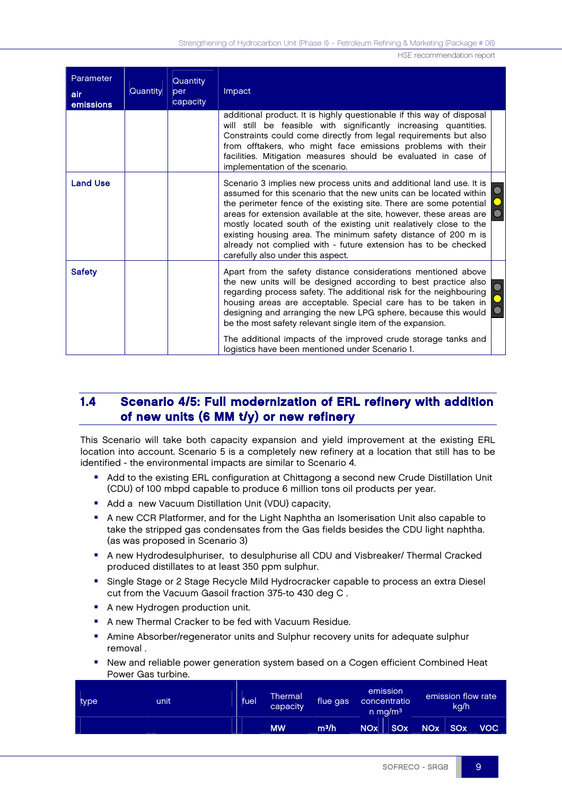| Parameter<br>air<br>emissions | Quantity | Quantity<br>per<br>capacity | <b>Impact</b>                                                                                                                                                                                                                                                                                                                                                                                                                                                                                                                         |  |
|-------------------------------|----------|-----------------------------|---------------------------------------------------------------------------------------------------------------------------------------------------------------------------------------------------------------------------------------------------------------------------------------------------------------------------------------------------------------------------------------------------------------------------------------------------------------------------------------------------------------------------------------|--|
|                               |          |                             | additional product. It is highly questionable if this way of disposal<br>will still be feasible with significantly increasing quantities.<br>Constraints could come directly from legal requirements but also<br>from offtakers, who might face emissions problems with their<br>facilities. Mitigation measures should be evaluated in case of<br>implementation of the scenario.                                                                                                                                                    |  |
| <b>Land Use</b>               |          |                             | Scenario 3 implies new process units and additional land use. It is<br>assumed for this scenario that the new units can be located within<br>the perimeter fence of the existing site. There are some potential<br>areas for extension available at the site, however, these areas are<br>mostly located south of the existing unit realatively close to the<br>existing housing area. The minimum safety distance of 200 m is<br>already not complied with - future extension has to be checked<br>carefully also under this aspect. |  |
| <b>Safety</b>                 |          |                             | Apart from the safety distance considerations mentioned above<br>the new units will be designed according to best practice also<br>regarding process safety. The additional risk for the neighbouring<br>housing areas are acceptable. Special care has to be taken in<br>designing and arranging the new LPG sphere, because this would<br>be the most safety relevant single item of the expansion.                                                                                                                                 |  |
|                               |          |                             | The additional impacts of the improved crude storage tanks and<br>logistics have been mentioned under Scenario 1.                                                                                                                                                                                                                                                                                                                                                                                                                     |  |

# 1.4 Scenario 4/5: Full modernization of ERL refinery with addition of new units (6 MM t/y) or new refinery

This Scenario will take both capacity expansion and yield improvement at the existing ERL location into account. Scenario 5 is a completely new refinery at a location that still has to be identified - the environmental impacts are similar to Scenario 4.

- Add to the existing ERL configuration at Chittagong a second new Crude Distillation Unit (CDU) of 100 mbpd capable to produce 6 million tons oil products per year.
- **Add a new Vacuum Distillation Unit (VDU) capacity,**
- A new CCR Platformer, and for the Light Naphtha an Isomerisation Unit also capable to take the stripped gas condensates from the Gas fields besides the CDU light naphtha. (as was proposed in Scenario 3)
- A new Hydrodesulphuriser, to desulphurise all CDU and Visbreaker/ Thermal Cracked produced distillates to at least 350 ppm sulphur.
- **Single Stage or 2 Stage Recycle Mild Hydrocracker capable to process an extra Diesel** cut from the Vacuum Gasoil fraction 375-to 430 deg C .
- **A new Hydrogen production unit.**
- A new Thermal Cracker to be fed with Vacuum Residue.
- **Amine Absorber/regenerator units and Sulphur recovery units for adequate sulphur** removal .
- New and reliable power generation system based on a Cogen efficient Combined Heat Power Gas turbine.

| type | unit | fuel | Thermal<br>capacity | flue gas          |            | emission<br>concentratio<br>$n$ ma/m <sup>3</sup> |  | emission flow rate<br>kg/h |            |  |
|------|------|------|---------------------|-------------------|------------|---------------------------------------------------|--|----------------------------|------------|--|
|      |      |      | <b>MW</b>           | m <sup>3</sup> /h | <b>NOX</b> | <b>SO<sub>x</sub></b>                             |  | NOx SOx                    | <b>VOC</b> |  |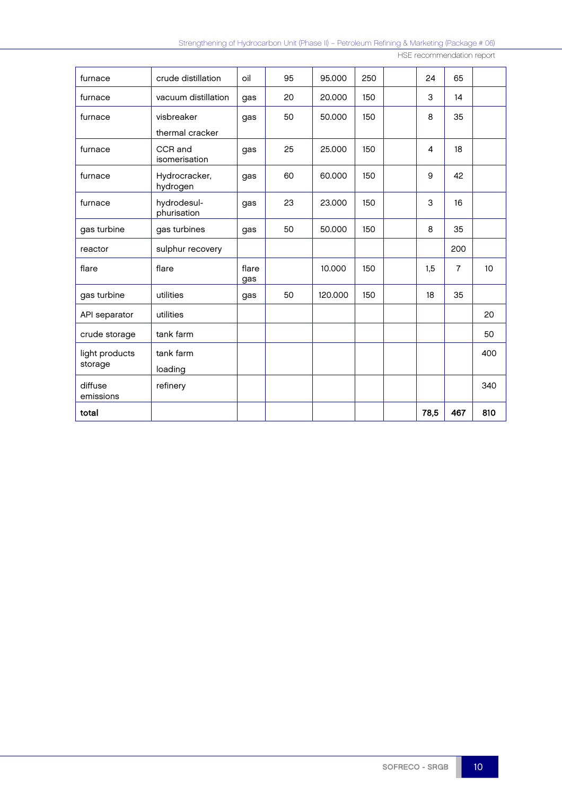| furnace              | crude distillation         | oil          | 95 | 95.000  | 250 | 24             | 65             |                  |
|----------------------|----------------------------|--------------|----|---------|-----|----------------|----------------|------------------|
| furnace              | vacuum distillation        | gas          | 20 | 20.000  | 150 | 3              | 14             |                  |
| furnace              | visbreaker                 | gas          | 50 | 50,000  | 150 | 8              | 35             |                  |
|                      | thermal cracker            |              |    |         |     |                |                |                  |
| furnace              | CCR and<br>isomerisation   | gas          | 25 | 25,000  | 150 | $\overline{4}$ | 18             |                  |
| furnace              | Hydrocracker,<br>hydrogen  | gas          | 60 | 60.000  | 150 | 9              | 42             |                  |
| furnace              | hydrodesul-<br>phurisation | gas          | 23 | 23,000  | 150 | 3              | 16             |                  |
| gas turbine          | gas turbines               | gas          | 50 | 50,000  | 150 | 8              | 35             |                  |
| reactor              | sulphur recovery           |              |    |         |     |                | 200            |                  |
| flare                | flare                      | flare<br>gas |    | 10.000  | 150 | 1,5            | $\overline{7}$ | 10 <sup>10</sup> |
| gas turbine          | utilities                  | gas          | 50 | 120.000 | 150 | 18             | 35             |                  |
| API separator        | utilities                  |              |    |         |     |                |                | 20               |
| crude storage        | tank farm                  |              |    |         |     |                |                | 50               |
| light products       | tank farm                  |              |    |         |     |                |                | 400              |
| storage              | loading                    |              |    |         |     |                |                |                  |
| diffuse<br>emissions | refinery                   |              |    |         |     |                |                | 340              |
| total                |                            |              |    |         |     | 78,5           | 467            | 810              |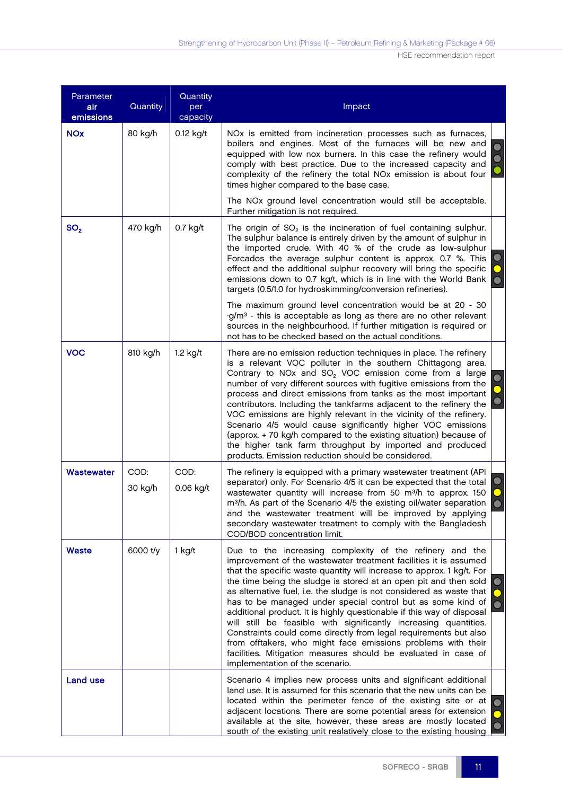| Parameter<br>air<br>emissions | Quantity        | Quantity<br>per<br>capacity | Impact                                                                                                                                                                                                                                                                                                                                                                                                                                                                                                                                                                                                                                                                                                                                                                                                 |
|-------------------------------|-----------------|-----------------------------|--------------------------------------------------------------------------------------------------------------------------------------------------------------------------------------------------------------------------------------------------------------------------------------------------------------------------------------------------------------------------------------------------------------------------------------------------------------------------------------------------------------------------------------------------------------------------------------------------------------------------------------------------------------------------------------------------------------------------------------------------------------------------------------------------------|
| <b>NOx</b>                    | 80 kg/h         | $0.12$ kg/t                 | NOx is emitted from incineration processes such as furnaces,<br>boilers and engines. Most of the furnaces will be new and<br>equipped with low nox burners. In this case the refinery would<br>comply with best practice. Due to the increased capacity and<br>complexity of the refinery the total NOx emission is about four<br>times higher compared to the base case.                                                                                                                                                                                                                                                                                                                                                                                                                              |
|                               |                 |                             | The NOx ground level concentration would still be acceptable.<br>Further mitigation is not required.                                                                                                                                                                                                                                                                                                                                                                                                                                                                                                                                                                                                                                                                                                   |
| SO <sub>2</sub>               | 470 kg/h        | $0.7$ kg/t                  | The origin of $SO2$ is the incineration of fuel containing sulphur.<br>The sulphur balance is entirely driven by the amount of sulphur in<br>the imported crude. With 40 % of the crude as low-sulphur<br>Forcados the average sulphur content is approx. 0.7 %. This<br>effect and the additional sulphur recovery will bring the specific<br>emissions down to 0.7 kg/t, which is in line with the World Bank<br>targets (0.5/1.0 for hydroskimming/conversion refineries).                                                                                                                                                                                                                                                                                                                          |
|                               |                 |                             | The maximum ground level concentration would be at 20 - 30<br>g/m <sup>3</sup> - this is acceptable as long as there are no other relevant<br>sources in the neighbourhood. If further mitigation is required or<br>not has to be checked based on the actual conditions.                                                                                                                                                                                                                                                                                                                                                                                                                                                                                                                              |
| <b>VOC</b>                    | 810 kg/h        | $1.2$ kg/t                  | There are no emission reduction techniques in place. The refinery<br>is a relevant VOC polluter in the southern Chittagong area.<br>Contrary to NOx and SO <sub>2</sub> VOC emission come from a large<br>number of very different sources with fugitive emissions from the<br>process and direct emissions from tanks as the most important<br>contributors. Including the tankfarms adjacent to the refinery the<br>VOC emissions are highly relevant in the vicinity of the refinery.<br>Scenario 4/5 would cause significantly higher VOC emissions<br>(approx. + 70 kg/h compared to the existing situation) because of<br>the higher tank farm throughput by imported and produced<br>products. Emission reduction should be considered.                                                         |
| <b>Wastewater</b>             | COD:<br>30 kg/h | COD:<br>0,06 kg/t           | The refinery is equipped with a primary wastewater treatment (API)<br>separator) only. For Scenario 4/5 it can be expected that the total<br>wastewater quantity will increase from 50 m <sup>3</sup> /h to approx. 150<br>m <sup>3</sup> /h. As part of the Scenario 4/5 the existing oil/water separation<br>and the wastewater treatment will be improved by applying<br>secondary wastewater treatment to comply with the Bangladesh<br>COD/BOD concentration limit.                                                                                                                                                                                                                                                                                                                               |
| <b>Waste</b>                  | 6000 t/y        | 1 kg/t                      | Due to the increasing complexity of the refinery and the<br>improvement of the wastewater treatment facilities it is assumed<br>that the specific waste quantity will increase to approx. 1 kg/t. For<br>the time being the sludge is stored at an open pit and then sold<br>as alternative fuel, i.e. the sludge is not considered as waste that<br>has to be managed under special control but as some kind of<br>additional product. It is highly questionable if this way of disposal<br>will still be feasible with significantly increasing quantities.<br>Constraints could come directly from legal requirements but also<br>from offtakers, who might face emissions problems with their<br>facilities. Mitigation measures should be evaluated in case of<br>implementation of the scenario. |
| <b>Land use</b>               |                 |                             | Scenario 4 implies new process units and significant additional<br>land use. It is assumed for this scenario that the new units can be<br>located within the perimeter fence of the existing site or at<br>adjacent locations. There are some potential areas for extension<br>available at the site, however, these areas are mostly located<br>south of the existing unit realatively close to the existing housing                                                                                                                                                                                                                                                                                                                                                                                  |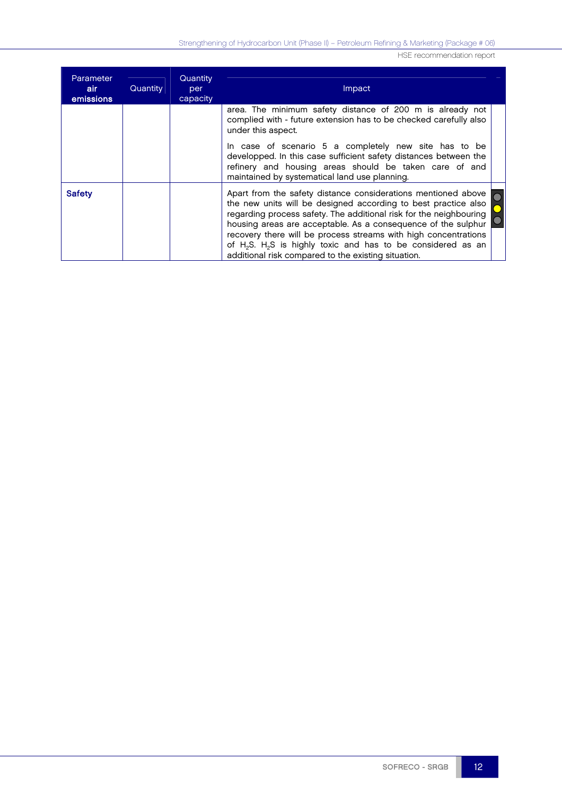| Parameter<br>air a<br>emissions | Quantity | Quantity<br>per<br>capacity | <b>Impact</b>                                                                                                                                                                                                                                                                                                                                                                                                                                                                            |
|---------------------------------|----------|-----------------------------|------------------------------------------------------------------------------------------------------------------------------------------------------------------------------------------------------------------------------------------------------------------------------------------------------------------------------------------------------------------------------------------------------------------------------------------------------------------------------------------|
|                                 |          |                             | area. The minimum safety distance of 200 m is already not<br>complied with - future extension has to be checked carefully also<br>under this aspect.                                                                                                                                                                                                                                                                                                                                     |
|                                 |          |                             | In case of scenario 5 a completely new site has to be<br>developped. In this case sufficient safety distances between the<br>refinery and housing areas should be taken care of and<br>maintained by systematical land use planning.                                                                                                                                                                                                                                                     |
| <b>Safety</b>                   |          |                             | Apart from the safety distance considerations mentioned above<br>the new units will be designed according to best practice also<br>regarding process safety. The additional risk for the neighbouring<br>housing areas are acceptable. As a consequence of the sulphur<br>recovery there will be process streams with high concentrations<br>of H <sub>2</sub> S. H <sub>2</sub> S is highly toxic and has to be considered as an<br>additional risk compared to the existing situation. |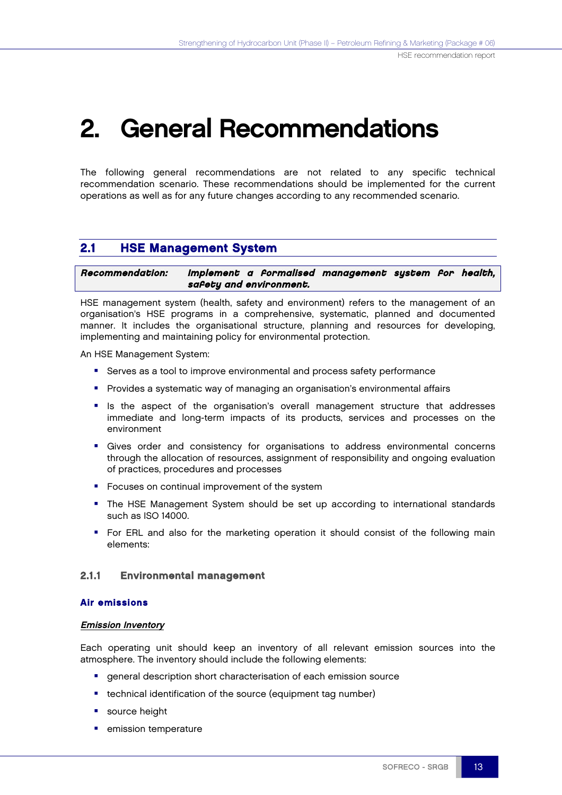# 2. General Recommendations

The following general recommendations are not related to any specific technical recommendation scenario. These recommendations should be implemented for the current operations as well as for any future changes according to any recommended scenario.

## 2.1 HSE Management System

Recommendation: Implement <sup>a</sup> formalised managemen<sup>t</sup> system for health, safety and environment.

HSE management system (health, safety and environment) refers to the management of an organisation's HSE programs in a comprehensive, systematic, planned and documented manner. It includes the organisational structure, planning and resources for developing, implementing and maintaining policy for environmental protection.

An HSE Management System:

- Serves as a tool to improve environmental and process safety performance
- **Provides a systematic way of managing an organisation's environmental affairs**
- **Is the aspect of the organisation's overall management structure that addresses** immediate and long-term impacts of its products, services and processes on the environment
- Gives order and consistency for organisations to address environmental concerns through the allocation of resources, assignment of responsibility and ongoing evaluation of practices, procedures and processes
- **F** Focuses on continual improvement of the system
- The HSE Management System should be set up according to international standards such as ISO 14000.
- **F** For ERL and also for the marketing operation it should consist of the following main elements:

#### 2.1.1 Environmental management

#### Air emissions

#### Emission Inventory

Each operating unit should keep an inventory of all relevant emission sources into the atmosphere. The inventory should include the following elements:

- **e** general description short characterisation of each emission source
- **•** technical identification of the source (equipment tag number)
- source height
- emission temperature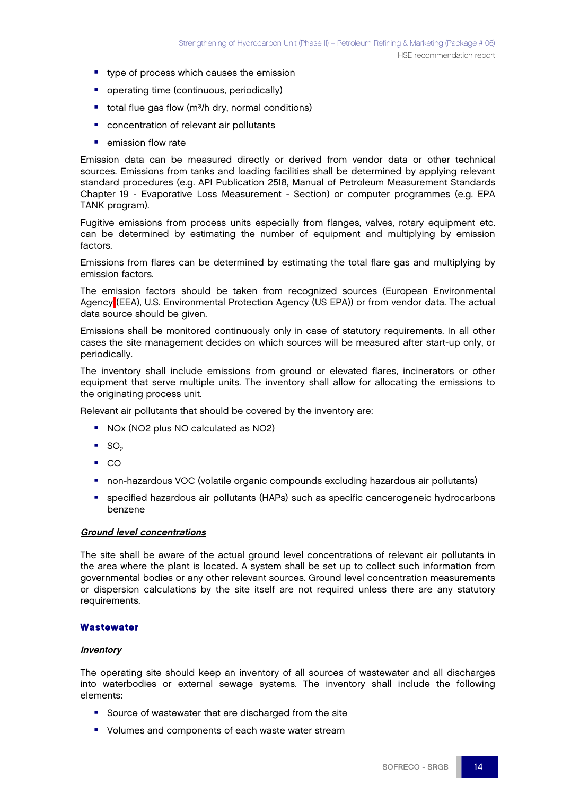- **•** type of process which causes the emission
- **•** operating time (continuous, periodically)
- total flue gas flow  $(m<sup>3</sup>/h)$  dry, normal conditions)
- concentration of relevant air pollutants
- **E** emission flow rate

Emission data can be measured directly or derived from vendor data or other technical sources. Emissions from tanks and loading facilities shall be determined by applying relevant standard procedures (e.g. API Publication 2518, Manual of Petroleum Measurement Standards Chapter 19 - Evaporative Loss Measurement - Section) or computer programmes (e.g. EPA TANK program).

Fugitive emissions from process units especially from flanges, valves, rotary equipment etc. can be determined by estimating the number of equipment and multiplying by emission factors.

Emissions from flares can be determined by estimating the total flare gas and multiplying by emission factors.

The emission factors should be taken from recognized sources (European Environmental Agency (EEA), U.S. Environmental Protection Agency (US EPA)) or from vendor data. The actual data source should be given.

Emissions shall be monitored continuously only in case of statutory requirements. In all other cases the site management decides on which sources will be measured after start-up only, or periodically.

The inventory shall include emissions from ground or elevated flares, incinerators or other equipment that serve multiple units. The inventory shall allow for allocating the emissions to the originating process unit.

Relevant air pollutants that should be covered by the inventory are:

- NOx (NO2 plus NO calculated as NO2)
- $\bullet$  SO<sub>2</sub>
- $\overline{C}$
- non-hazardous VOC (volatile organic compounds excluding hazardous air pollutants)
- specified hazardous air pollutants (HAPs) such as specific cancerogeneic hydrocarbons benzene

#### Ground level concentrations

The site shall be aware of the actual ground level concentrations of relevant air pollutants in the area where the plant is located. A system shall be set up to collect such information from governmental bodies or any other relevant sources. Ground level concentration measurements or dispersion calculations by the site itself are not required unless there are any statutory requirements.

#### **Wastewater**

#### Inventory

The operating site should keep an inventory of all sources of wastewater and all discharges into waterbodies or external sewage systems. The inventory shall include the following elements:

- Source of wastewater that are discharged from the site
- **•** Volumes and components of each waste water stream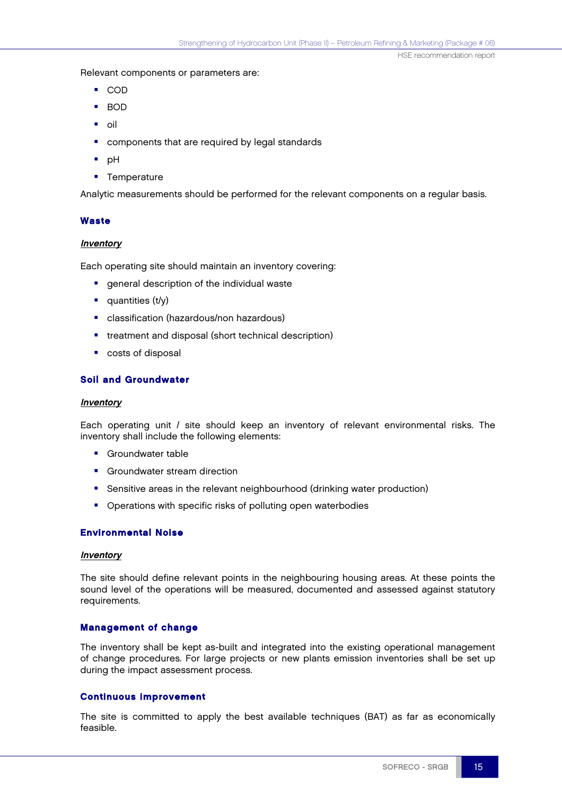Relevant components or parameters are:

- COD
- BOD
- oil
- **•** components that are required by legal standards
- pH
- **Temperature**

Analytic measurements should be performed for the relevant components on a regular basis.

#### **Waste**

#### Inventory

Each operating site should maintain an inventory covering:

- **e** general description of the individual waste
- $\blacksquare$  quantities (t/y)
- **E** classification (hazardous/non hazardous)
- **•** treatment and disposal (short technical description)
- **costs of disposal**

#### Soil and Groundwater

#### **Inventory**

Each operating unit / site should keep an inventory of relevant environmental risks. The inventory shall include the following elements:

- **Groundwater table**
- **Groundwater stream direction**
- Sensitive areas in the relevant neighbourhood (drinking water production)
- **•** Operations with specific risks of polluting open waterbodies

#### Environmental Noise

#### **Inventory**

The site should define relevant points in the neighbouring housing areas. At these points the sound level of the operations will be measured, documented and assessed against statutory requirements.

#### Management of change

The inventory shall be kept as-built and integrated into the existing operational management of change procedures. For large projects or new plants emission inventories shall be set up during the impact assessment process.

#### Continuous improvement

The site is committed to apply the best available techniques (BAT) as far as economically feasible.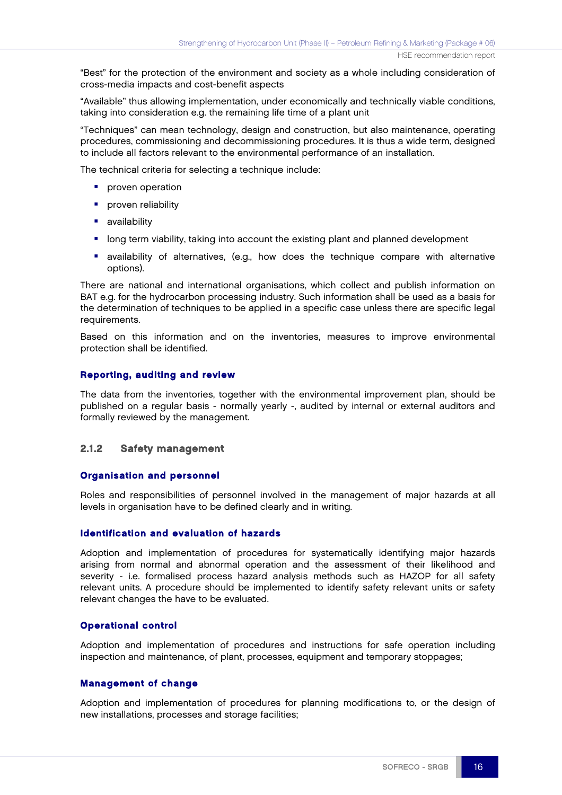"Best" for the protection of the environment and society as a whole including consideration of cross-media impacts and cost-benefit aspects

"Available" thus allowing implementation, under economically and technically viable conditions, taking into consideration e.g. the remaining life time of a plant unit

"Techniques" can mean technology, design and construction, but also maintenance, operating procedures, commissioning and decommissioning procedures. It is thus a wide term, designed to include all factors relevant to the environmental performance of an installation.

The technical criteria for selecting a technique include:

- **P** proven operation
- **P** proven reliability
- **availability**
- **IDOM** long term viability, taking into account the existing plant and planned development
- **•** availability of alternatives, (e.g., how does the technique compare with alternative options).

There are national and international organisations, which collect and publish information on BAT e.g. for the hydrocarbon processing industry. Such information shall be used as a basis for the determination of techniques to be applied in a specific case unless there are specific legal requirements.

Based on this information and on the inventories, measures to improve environmental protection shall be identified.

#### Reporting, auditing and review

The data from the inventories, together with the environmental improvement plan, should be published on a regular basis - normally yearly -, audited by internal or external auditors and formally reviewed by the management.

#### 2.1.2 Safety management

#### Organisation and personnel

Roles and responsibilities of personnel involved in the management of major hazards at all levels in organisation have to be defined clearly and in writing.

#### Identification and evaluation of hazards

Adoption and implementation of procedures for systematically identifying major hazards arising from normal and abnormal operation and the assessment of their likelihood and severity - i.e. formalised process hazard analysis methods such as HAZOP for all safety relevant units. A procedure should be implemented to identify safety relevant units or safety relevant changes the have to be evaluated.

#### Operational control

Adoption and implementation of procedures and instructions for safe operation including inspection and maintenance, of plant, processes, equipment and temporary stoppages;

#### Management of change

Adoption and implementation of procedures for planning modifications to, or the design of new installations, processes and storage facilities;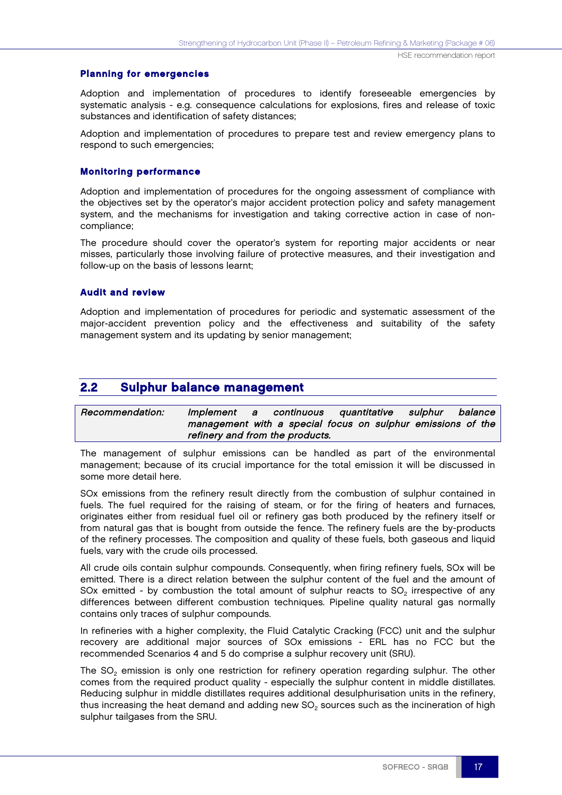#### Planning for emergencies

Adoption and implementation of procedures to identify foreseeable emergencies by systematic analysis - e.g. consequence calculations for explosions, fires and release of toxic substances and identification of safety distances;

Adoption and implementation of procedures to prepare test and review emergency plans to respond to such emergencies;

#### Monitoring performance

Adoption and implementation of procedures for the ongoing assessment of compliance with the objectives set by the operator's major accident protection policy and safety management system, and the mechanisms for investigation and taking corrective action in case of noncompliance;

The procedure should cover the operator's system for reporting major accidents or near misses, particularly those involving failure of protective measures, and their investigation and follow-up on the basis of lessons learnt;

#### Audit and review

Adoption and implementation of procedures for periodic and systematic assessment of the major-accident prevention policy and the effectiveness and suitability of the safety management system and its updating by senior management;

#### 2.2 Sulphur balance management

Recommendation: Implement <sup>a</sup> continuous quantitative sulphur balance management with <sup>a</sup> special focus on sulphur emissions of the refinery and from the products.

The management of sulphur emissions can be handled as part of the environmental management; because of its crucial importance for the total emission it will be discussed in some more detail here.

SOx emissions from the refinery result directly from the combustion of sulphur contained in fuels. The fuel required for the raising of steam, or for the firing of heaters and furnaces, originates either from residual fuel oil or refinery gas both produced by the refinery itself or from natural gas that is bought from outside the fence. The refinery fuels are the by-products of the refinery processes. The composition and quality of these fuels, both gaseous and liquid fuels, vary with the crude oils processed.

All crude oils contain sulphur compounds. Consequently, when firing refinery fuels, SOx will be emitted. There is a direct relation between the sulphur content of the fuel and the amount of SOx emitted - by combustion the total amount of sulphur reacts to SO<sub>2</sub> irrespective of any differences between different combustion techniques. Pipeline quality natural gas normally contains only traces of sulphur compounds.

In refineries with a higher complexity, the Fluid Catalytic Cracking (FCC) unit and the sulphur recovery are additional major sources of SOx emissions - ERL has no FCC but the recommended Scenarios 4 and 5 do comprise a sulphur recovery unit (SRU).

The SO<sub>2</sub> emission is only one restriction for refinery operation regarding sulphur. The other comes from the required product quality - especially the sulphur content in middle distillates. Reducing sulphur in middle distillates requires additional desulphurisation units in the refinery, thus increasing the heat demand and adding new  $SO<sub>2</sub>$  sources such as the incineration of high sulphur tailgases from the SRU.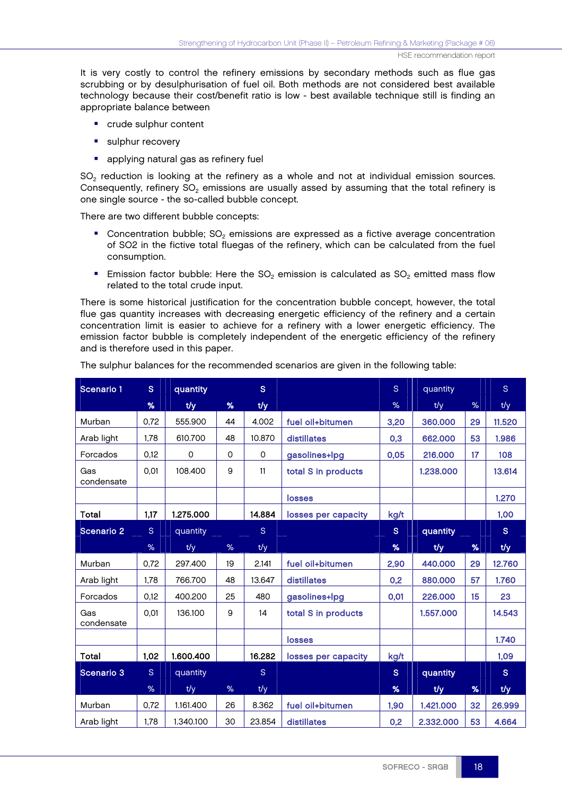It is very costly to control the refinery emissions by secondary methods such as flue gas scrubbing or by desulphurisation of fuel oil. Both methods are not considered best available technology because their cost/benefit ratio is low - best available technique still is finding an appropriate balance between

- **•** crude sulphur content
- sulphur recovery
- applying natural gas as refinery fuel

SO $_{\rm 2}$  reduction is looking at the refinery as a whole and not at individual emission sources. Consequently, refinery SO<sub>2</sub> emissions are usually assed by assuming that the total refinery is one single source - the so-called bubble concept.

There are two different bubble concepts:

- Concentration bubble;  $SO_2$  emissions are expressed as a fictive average concentration of SO2 in the fictive total fluegas of the refinery, which can be calculated from the fuel consumption.
- **Emission factor bubble:** Here the  $SO_2$  emission is calculated as  $SO_2$  emitted mass flow related to the total crude input.

There is some historical justification for the concentration bubble concept, however, the total flue gas quantity increases with decreasing energetic efficiency of the refinery and a certain concentration limit is easier to achieve for a refinery with a lower energetic efficiency. The emission factor bubble is completely independent of the energetic efficiency of the refinery and is therefore used in this paper.

| Scenario 1        | <sub>S</sub> | quantity  |             | S                   |                     | <sub>S</sub> | quantity  |    | <sub>S</sub> |
|-------------------|--------------|-----------|-------------|---------------------|---------------------|--------------|-----------|----|--------------|
|                   | %            | t/y       | %           | t/y                 |                     | %            | t/y       | %  | t/y          |
| Murban            | 0,72         | 555.900   | 44          | 4.002               | fuel oil+bitumen    |              | 360.000   | 29 | 11.520       |
| Arab light        | 1,78         | 610.700   | 48          | 10.870              | distillates         | 0,3          | 662.000   | 53 | 1.986        |
| Forcados          | 0,12         | 0         | $\mathbf 0$ | $\mathsf{O}\xspace$ | gasolines+lpg       | 0,05         | 216.000   | 17 | 108          |
| Gas<br>condensate | 0,01         | 108,400   | 9           | 11                  | total S in products |              | 1.238.000 |    | 13.614       |
|                   |              |           |             |                     | losses              |              |           |    | 1.270        |
| Total             | 1,17         | 1.275.000 |             | 14.884              | losses per capacity | kg/t         |           |    | 1,00         |
| <b>Scenario 2</b> | S            | quantity  |             | $\mathbf S$         |                     | S.           | quantity  |    | S            |
|                   | %            | t/y       | %           | t/y                 |                     | %            | t/y       | %  | t/y          |
| Murban            | 0,72         | 297.400   | 19          | 2.141               | fuel oil+bitumen    | 2,90         | 440.000   | 29 | 12.760       |
| Arab light        | 1,78         | 766.700   | 48          | 13.647              | distillates         | 0,2          | 880.000   | 57 | 1.760        |
| Forcados          | 0,12         | 400.200   | 25          | 480                 | gasolines+lpg       | 0,01         | 226.000   | 15 | 23           |
| Gas<br>condensate | 0,01         | 136.100   | 9           | 14                  | total S in products |              | 1.557.000 |    | 14.543       |
|                   |              |           |             |                     | <b>losses</b>       |              |           |    | 1.740        |
| Total             | 1,02         | 1.600.400 |             | 16.282              | losses per capacity | kg/t         |           |    | 1,09         |
| Scenario 3        | <sub>S</sub> | quantity  |             | S                   |                     | S            | quantity  |    | S            |
|                   | $\%$         | t/y       | $\%$        | t/y                 |                     | %            | t/y       | %  | t/y          |
| Murban            | 0,72         | 1.161.400 | 26          | 8.362               | fuel oil+bitumen    | 1,90         | 1.421.000 | 32 | 26.999       |
| Arab light        | 1,78         | 1.340.100 | 30          | 23.854              | distillates         | 0,2          | 2.332.000 | 53 | 4.664        |

The sulphur balances for the recommended scenarios are given in the following table: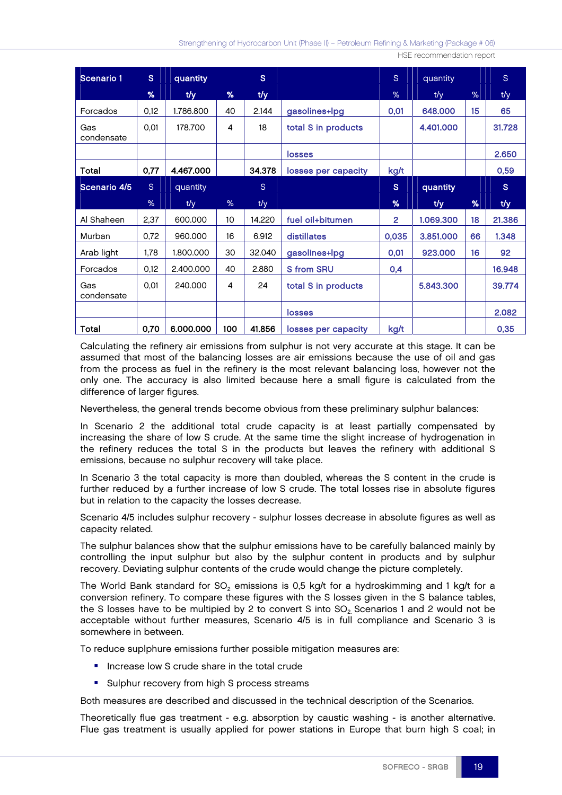| Scenario 1        | <sub>S</sub> | quantity  |     | S      |                     | <sub>S</sub>   | quantity  |    | S            |
|-------------------|--------------|-----------|-----|--------|---------------------|----------------|-----------|----|--------------|
|                   | %            | t/y       | %   | t/y    |                     | $\%$           | t/y       | %  | t/y          |
| Forcados          | 0,12         | 1.786.800 | 40  | 2.144  | gasolines+lpg       | 0,01           | 648.000   | 15 | 65           |
| Gas<br>condensate | 0,01         | 178.700   | 4   | 18     | total S in products |                | 4.401.000 |    | 31,728       |
|                   |              |           |     |        | <b>losses</b>       |                |           |    | 2.650        |
| Total             | 0,77         | 4.467.000 |     | 34.378 | losses per capacity | kg/t           |           |    | 0,59         |
| Scenario 4/5      | <sub>S</sub> | quantity  |     | S      |                     | <sub>S</sub>   | quantity  |    | <sub>S</sub> |
|                   | %            | t/y       | %   | t/y    |                     | %              | t/y       | %  | t/y          |
| Al Shaheen        | 2,37         | 600.000   | 10  | 14.220 | fuel oil+bitumen    | $\overline{2}$ | 1.069.300 | 18 | 21.386       |
| Murban            | 0,72         | 960.000   | 16  | 6.912  | distillates         | 0,035          | 3.851.000 | 66 | 1.348        |
| Arab light        | 1,78         | 1.800.000 | 30  | 32.040 | gasolines+lpg       | 0,01           | 923,000   | 16 | 92           |
| Forcados          | 0,12         | 2.400.000 | 40  | 2.880  | S from SRU          | 0,4            |           |    | 16.948       |
| Gas<br>condensate | 0,01         | 240.000   | 4   | 24     | total S in products |                | 5,843,300 |    | 39,774       |
|                   |              |           |     |        | losses              |                |           |    | 2.082        |
| Total             | 0,70         | 6,000,000 | 100 | 41.856 | losses per capacity | kg/t           |           |    | 0,35         |

Calculating the refinery air emissions from sulphur is not very accurate at this stage. It can be assumed that most of the balancing losses are air emissions because the use of oil and gas from the process as fuel in the refinery is the most relevant balancing loss, however not the only one. The accuracy is also limited because here a small figure is calculated from the difference of larger figures.

Nevertheless, the general trends become obvious from these preliminary sulphur balances:

In Scenario 2 the additional total crude capacity is at least partially compensated by increasing the share of low S crude. At the same time the slight increase of hydrogenation in the refinery reduces the total S in the products but leaves the refinery with additional S emissions, because no sulphur recovery will take place.

In Scenario 3 the total capacity is more than doubled, whereas the S content in the crude is further reduced by a further increase of low S crude. The total losses rise in absolute figures but in relation to the capacity the losses decrease.

Scenario 4/5 includes sulphur recovery - sulphur losses decrease in absolute figures as well as capacity related.

The sulphur balances show that the sulphur emissions have to be carefully balanced mainly by controlling the input sulphur but also by the sulphur content in products and by sulphur recovery. Deviating sulphur contents of the crude would change the picture completely.

The World Bank standard for  $SO<sub>2</sub>$  emissions is 0,5 kg/t for a hydroskimming and 1 kg/t for a conversion refinery. To compare these figures with the S losses given in the S balance tables, the S losses have to be multipied by 2 to convert S into  $SO<sub>2</sub>$  Scenarios 1 and 2 would not be acceptable without further measures, Scenario 4/5 is in full compliance and Scenario 3 is somewhere in between.

To reduce suplphure emissions further possible mitigation measures are:

- **Increase low S crude share in the total crude**
- **Sulphur recovery from high S process streams**

Both measures are described and discussed in the technical description of the Scenarios.

Theoretically flue gas treatment - e.g. absorption by caustic washing - is another alternative. Flue gas treatment is usually applied for power stations in Europe that burn high S coal; in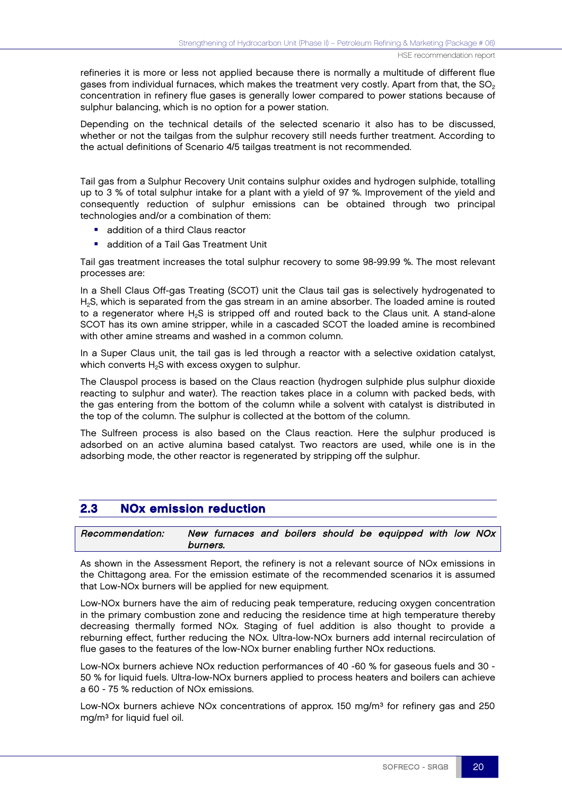refineries it is more or less not applied because there is normally a multitude of different flue gases from individual furnaces, which makes the treatment very costly. Apart from that, the SO<sub>2</sub> concentration in refinery flue gases is generally lower compared to power stations because of sulphur balancing, which is no option for a power station.

Depending on the technical details of the selected scenario it also has to be discussed, whether or not the tailgas from the sulphur recovery still needs further treatment. According to the actual definitions of Scenario 4/5 tailgas treatment is not recommended.

Tail gas from a Sulphur Recovery Unit contains sulphur oxides and hydrogen sulphide, totalling up to 3 % of total sulphur intake for a plant with a yield of 97 %. Improvement of the yield and consequently reduction of sulphur emissions can be obtained through two principal technologies and/or a combination of them:

- addition of a third Claus reactor
- addition of a Tail Gas Treatment Unit

Tail gas treatment increases the total sulphur recovery to some 98-99.99 %. The most relevant processes are:

In a Shell Claus Off-gas Treating (SCOT) unit the Claus tail gas is selectively hydrogenated to H2S, which is separated from the gas stream in an amine absorber. The loaded amine is routed to a regenerator where H<sub>2</sub>S is stripped off and routed back to the Claus unit. A stand-alone SCOT has its own amine stripper, while in a cascaded SCOT the loaded amine is recombined with other amine streams and washed in a common column.

In a Super Claus unit, the tail gas is led through a reactor with a selective oxidation catalyst, which converts  $H_2S$  with excess oxygen to sulphur.

The Clauspol process is based on the Claus reaction (hydrogen sulphide plus sulphur dioxide reacting to sulphur and water). The reaction takes place in a column with packed beds, with the gas entering from the bottom of the column while a solvent with catalyst is distributed in the top of the column. The sulphur is collected at the bottom of the column.

The Sulfreen process is also based on the Claus reaction. Here the sulphur produced is adsorbed on an active alumina based catalyst. Two reactors are used, while one is in the adsorbing mode, the other reactor is regenerated by stripping off the sulphur.

#### 2.3 NOx emission reduction

Recommendation: New furnaces and boilers should be equipped with low NOx burners.

As shown in the Assessment Report, the refinery is not a relevant source of NOx emissions in the Chittagong area. For the emission estimate of the recommended scenarios it is assumed that Low-NOx burners will be applied for new equipment.

Low-NOx burners have the aim of reducing peak temperature, reducing oxygen concentration in the primary combustion zone and reducing the residence time at high temperature thereby decreasing thermally formed NOx. Staging of fuel addition is also thought to provide a reburning effect, further reducing the NOx. Ultra-low-NOx burners add internal recirculation of flue gases to the features of the low-NOx burner enabling further NOx reductions.

Low-NOx burners achieve NOx reduction performances of 40 -60 % for gaseous fuels and 30 - 50 % for liquid fuels. Ultra-low-NOx burners applied to process heaters and boilers can achieve a 60 - 75 % reduction of NOx emissions.

Low-NOx burners achieve NOx concentrations of approx. 150 mg/m<sup>3</sup> for refinery gas and 250 mg/m<sup>3</sup> for liquid fuel oil.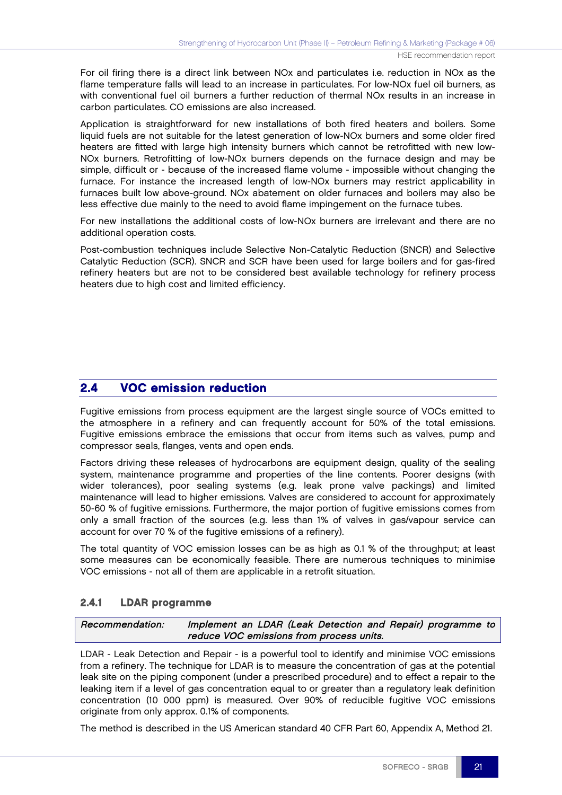For oil firing there is a direct link between NOx and particulates i.e. reduction in NOx as the flame temperature falls will lead to an increase in particulates. For low-NOx fuel oil burners, as with conventional fuel oil burners a further reduction of thermal NOx results in an increase in carbon particulates. CO emissions are also increased.

Application is straightforward for new installations of both fired heaters and boilers. Some liquid fuels are not suitable for the latest generation of low-NOx burners and some older fired heaters are fitted with large high intensity burners which cannot be retrofitted with new low-NOx burners. Retrofitting of low-NOx burners depends on the furnace design and may be simple, difficult or - because of the increased flame volume - impossible without changing the furnace. For instance the increased length of low-NOx burners may restrict applicability in furnaces built low above-ground. NOx abatement on older furnaces and boilers may also be less effective due mainly to the need to avoid flame impingement on the furnace tubes.

For new installations the additional costs of low-NOx burners are irrelevant and there are no additional operation costs.

Post-combustion techniques include Selective Non-Catalytic Reduction (SNCR) and Selective Catalytic Reduction (SCR). SNCR and SCR have been used for large boilers and for gas-fired refinery heaters but are not to be considered best available technology for refinery process heaters due to high cost and limited efficiency.

# 2.4 VOC emission reduction

Fugitive emissions from process equipment are the largest single source of VOCs emitted to the atmosphere in a refinery and can frequently account for 50% of the total emissions. Fugitive emissions embrace the emissions that occur from items such as valves, pump and compressor seals, flanges, vents and open ends.

Factors driving these releases of hydrocarbons are equipment design, quality of the sealing system, maintenance programme and properties of the line contents. Poorer designs (with wider tolerances), poor sealing systems (e.g. leak prone valve packings) and limited maintenance will lead to higher emissions. Valves are considered to account for approximately 50-60 % of fugitive emissions. Furthermore, the major portion of fugitive emissions comes from only a small fraction of the sources (e.g. less than 1% of valves in gas/vapour service can account for over 70 % of the fugitive emissions of a refinery).

The total quantity of VOC emission losses can be as high as 0.1 % of the throughput; at least some measures can be economically feasible. There are numerous techniques to minimise VOC emissions - not all of them are applicable in a retrofit situation.

#### 2.4.1 LDAR programme

Recommendation: Implement an LDAR (Leak Detection and Repair) programme to reduce VOC emissions from process units.

LDAR - Leak Detection and Repair - is a powerful tool to identify and minimise VOC emissions from a refinery. The technique for LDAR is to measure the concentration of gas at the potential leak site on the piping component (under a prescribed procedure) and to effect a repair to the leaking item if a level of gas concentration equal to or greater than a regulatory leak definition concentration (10 000 ppm) is measured. Over 90% of reducible fugitive VOC emissions originate from only approx. 0.1% of components.

The method is described in the US American standard 40 CFR Part 60, Appendix A, Method 21.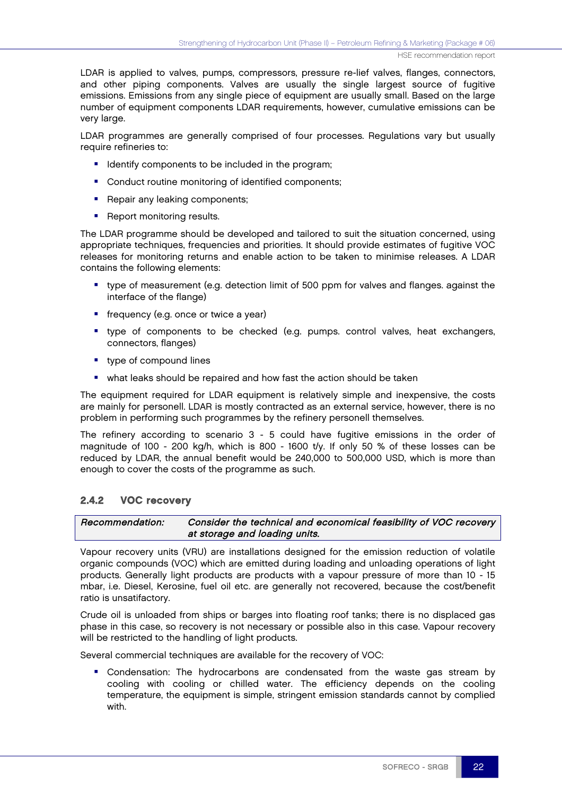LDAR is applied to valves, pumps, compressors, pressure re-lief valves, flanges, connectors, and other piping components. Valves are usually the single largest source of fugitive emissions. Emissions from any single piece of equipment are usually small. Based on the large number of equipment components LDAR requirements, however, cumulative emissions can be very large.

LDAR programmes are generally comprised of four processes. Regulations vary but usually require refineries to:

- **If** Identify components to be included in the program;
- Conduct routine monitoring of identified components;
- **Repair any leaking components;**
- **Report monitoring results.**

The LDAR programme should be developed and tailored to suit the situation concerned, using appropriate techniques, frequencies and priorities. It should provide estimates of fugitive VOC releases for monitoring returns and enable action to be taken to minimise releases. A LDAR contains the following elements:

- type of measurement (e.g. detection limit of 500 ppm for valves and flanges. against the interface of the flange)
- **fi** frequency (e.g. once or twice a year)
- type of components to be checked (e.g. pumps. control valves, heat exchangers, connectors, flanges)
- **•** type of compound lines
- **•** what leaks should be repaired and how fast the action should be taken

The equipment required for LDAR equipment is relatively simple and inexpensive, the costs are mainly for personell. LDAR is mostly contracted as an external service, however, there is no problem in performing such programmes by the refinery personell themselves.

The refinery according to scenario 3 - 5 could have fugitive emissions in the order of magnitude of 100 - 200 kg/h, which is 800 - 1600 t/y. If only 50 % of these losses can be reduced by LDAR, the annual benefit would be 240,000 to 500,000 USD, which is more than enough to cover the costs of the programme as such.

#### 2.4.2 VOC recovery

Recommendation: Consider the technical and economical feasibility of VOC recovery at storage and loading units.

Vapour recovery units (VRU) are installations designed for the emission reduction of volatile organic compounds (VOC) which are emitted during loading and unloading operations of light products. Generally light products are products with a vapour pressure of more than 10 - 15 mbar, i.e. Diesel, Kerosine, fuel oil etc. are generally not recovered, because the cost/benefit ratio is unsatifactory.

Crude oil is unloaded from ships or barges into floating roof tanks; there is no displaced gas phase in this case, so recovery is not necessary or possible also in this case. Vapour recovery will be restricted to the handling of light products.

Several commercial techniques are available for the recovery of VOC:

 Condensation: The hydrocarbons are condensated from the waste gas stream by cooling with cooling or chilled water. The efficiency depends on the cooling temperature, the equipment is simple, stringent emission standards cannot by complied with.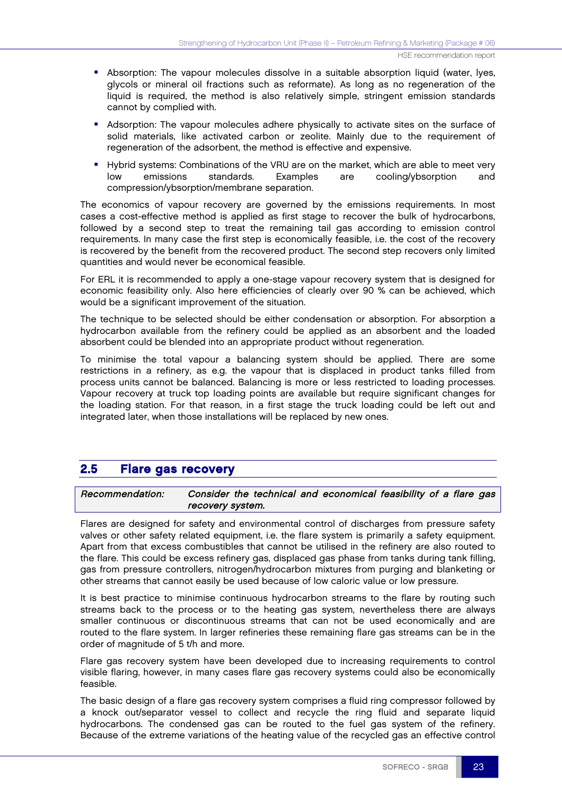- Absorption: The vapour molecules dissolve in a suitable absorption liquid (water, lyes, glycols or mineral oil fractions such as reformate). As long as no regeneration of the liquid is required, the method is also relatively simple, stringent emission standards cannot by complied with.
- **Adsorption: The vapour molecules adhere physically to activate sites on the surface of** solid materials, like activated carbon or zeolite. Mainly due to the requirement of regeneration of the adsorbent, the method is effective and expensive.
- Hybrid systems: Combinations of the VRU are on the market, which are able to meet very low emissions standards. Examples are cooling/ybsorption and compression/ybsorption/membrane separation.

The economics of vapour recovery are governed by the emissions requirements. In most cases a cost-effective method is applied as first stage to recover the bulk of hydrocarbons, followed by a second step to treat the remaining tail gas according to emission control requirements. In many case the first step is economically feasible, i.e. the cost of the recovery is recovered by the benefit from the recovered product. The second step recovers only limited quantities and would never be economical feasible.

For ERL it is recommended to apply a one-stage vapour recovery system that is designed for economic feasibility only. Also here efficiencies of clearly over 90 % can be achieved, which would be a significant improvement of the situation.

The technique to be selected should be either condensation or absorption. For absorption a hydrocarbon available from the refinery could be applied as an absorbent and the loaded absorbent could be blended into an appropriate product without regeneration.

To minimise the total vapour a balancing system should be applied. There are some restrictions in a refinery, as e.g. the vapour that is displaced in product tanks filled from process units cannot be balanced. Balancing is more or less restricted to loading processes. Vapour recovery at truck top loading points are available but require significant changes for the loading station. For that reason, in a first stage the truck loading could be left out and integrated later, when those installations will be replaced by new ones.

### 2.5 Flare gas recovery

Recommendation: Consider the technical and economical feasibility of <sup>a</sup> flare gas recovery system.

Flares are designed for safety and environmental control of discharges from pressure safety valves or other safety related equipment, i.e. the flare system is primarily a safety equipment. Apart from that excess combustibles that cannot be utilised in the refinery are also routed to the flare. This could be excess refinery gas, displaced gas phase from tanks during tank filling, gas from pressure controllers, nitrogen/hydrocarbon mixtures from purging and blanketing or other streams that cannot easily be used because of low caloric value or low pressure.

It is best practice to minimise continuous hydrocarbon streams to the flare by routing such streams back to the process or to the heating gas system, nevertheless there are always smaller continuous or discontinuous streams that can not be used economically and are routed to the flare system. In larger refineries these remaining flare gas streams can be in the order of magnitude of 5 t/h and more.

Flare gas recovery system have been developed due to increasing requirements to control visible flaring, however, in many cases flare gas recovery systems could also be economically feasible.

The basic design of a flare gas recovery system comprises a fluid ring compressor followed by a knock out/separator vessel to collect and recycle the ring fluid and separate liquid hydrocarbons. The condensed gas can be routed to the fuel gas system of the refinery. Because of the extreme variations of the heating value of the recycled gas an effective control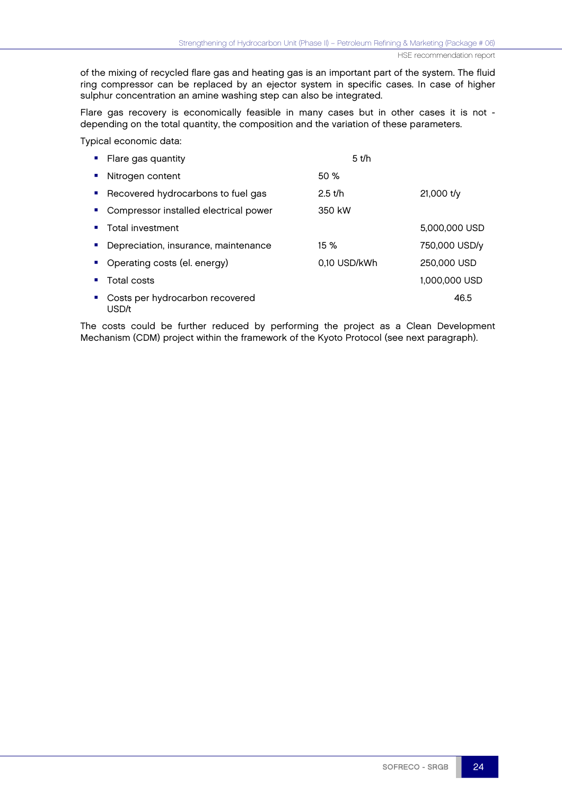of the mixing of recycled flare gas and heating gas is an important part of the system. The fluid ring compressor can be replaced by an ejector system in specific cases. In case of higher sulphur concentration an amine washing step can also be integrated.

Flare gas recovery is economically feasible in many cases but in other cases it is not depending on the total quantity, the composition and the variation of these parameters.

Typical economic data:

|                          | • Flare gas quantity                     | $5$ t/h      |               |
|--------------------------|------------------------------------------|--------------|---------------|
| <b>College</b>           | Nitrogen content                         | 50%          |               |
|                          | Recovered hydrocarbons to fuel gas       | $2.5$ t/h    | $21,000$ t/y  |
|                          | • Compressor installed electrical power  | 350 kW       |               |
|                          | Total investment                         |              | 5,000,000 USD |
| $\mathcal{L}_{\rm{max}}$ | Depreciation, insurance, maintenance     | 15 %         | 750,000 USD/y |
|                          | • Operating costs (el. energy)           | 0,10 USD/kWh | 250,000 USD   |
|                          | Total costs                              |              | 1,000,000 USD |
| $\mathbf{E}$             | Costs per hydrocarbon recovered<br>USD/t |              | 46.5          |

The costs could be further reduced by performing the project as a Clean Development Mechanism (CDM) project within the framework of the Kyoto Protocol (see next paragraph).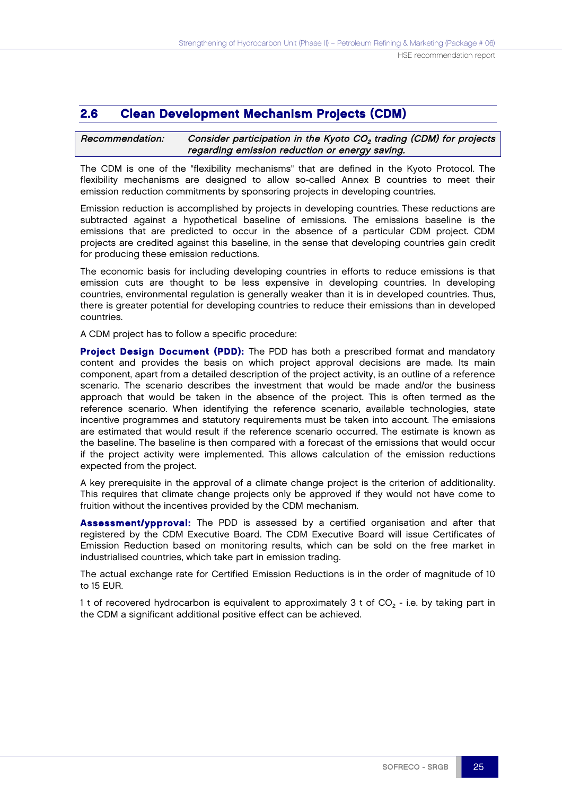# 2.6 Clean Development Mechanism Projects (CDM)

#### Recommendation:  $\qquad \qquad$  Consider participation in the Kyoto CO $_2$  trading (CDM) for projects regarding emission reduction or energy saving.

The CDM is one of the "flexibility mechanisms" that are defined in the Kyoto Protocol. The flexibility mechanisms are designed to allow so-called Annex B countries to meet their emission reduction commitments by sponsoring projects in developing countries.

Emission reduction is accomplished by projects in developing countries. These reductions are subtracted against a hypothetical baseline of emissions. The emissions baseline is the emissions that are predicted to occur in the absence of a particular CDM project. CDM projects are credited against this baseline, in the sense that developing countries gain credit for producing these emission reductions.

The economic basis for including developing countries in efforts to reduce emissions is that emission cuts are thought to be less expensive in developing countries. In developing countries, environmental regulation is generally weaker than it is in developed countries. Thus, there is greater potential for developing countries to reduce their emissions than in developed countries.

A CDM project has to follow a specific procedure:

Project Design Document (PDD): The PDD has both a prescribed format and mandatory content and provides the basis on which project approval decisions are made. Its main component, apart from a detailed description of the project activity, is an outline of a reference scenario. The scenario describes the investment that would be made and/or the business approach that would be taken in the absence of the project. This is often termed as the reference scenario. When identifying the reference scenario, available technologies, state incentive programmes and statutory requirements must be taken into account. The emissions are estimated that would result if the reference scenario occurred. The estimate is known as the baseline. The baseline is then compared with a forecast of the emissions that would occur if the project activity were implemented. This allows calculation of the emission reductions expected from the project.

A key prerequisite in the approval of a climate change project is the criterion of additionality. This requires that climate change projects only be approved if they would not have come to fruition without the incentives provided by the CDM mechanism.

Assessment/vpproval: The PDD is assessed by a certified organisation and after that registered by the CDM Executive Board. The CDM Executive Board will issue Certificates of Emission Reduction based on monitoring results, which can be sold on the free market in industrialised countries, which take part in emission trading.

The actual exchange rate for Certified Emission Reductions is in the order of magnitude of 10 to 15 EUR.

1 t of recovered hydrocarbon is equivalent to approximately 3 t of CO<sub>2</sub> - i.e. by taking part in the CDM a significant additional positive effect can be achieved.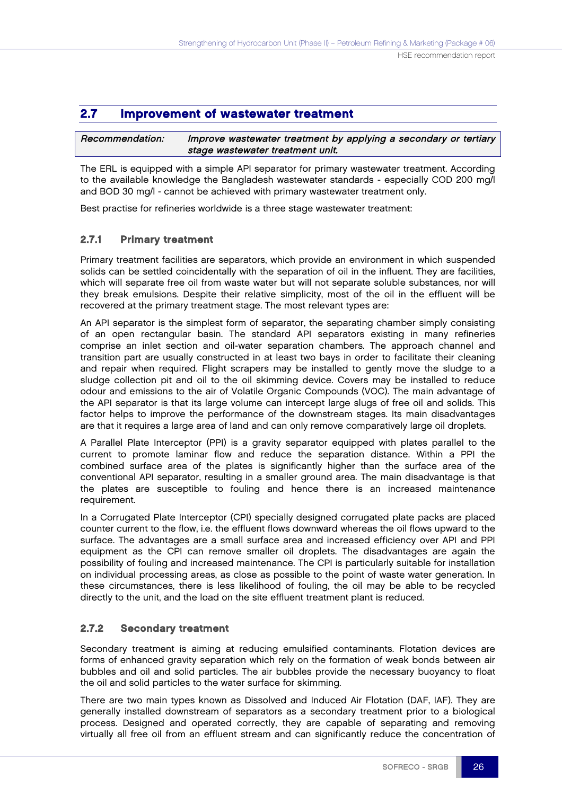## 2.7 Improvement of wastewater treatment

Recommendation: Improve wastewater treatment by applying <sup>a</sup> secondary or tertiary stage wastewater treatment unit.

The ERL is equipped with a simple API separator for primary wastewater treatment. According to the available knowledge the Bangladesh wastewater standards - especially COD 200 mg/l and BOD 30 mg/l - cannot be achieved with primary wastewater treatment only.

Best practise for refineries worldwide is a three stage wastewater treatment:

#### 2.7.1 Primary treatment

Primary treatment facilities are separators, which provide an environment in which suspended solids can be settled coincidentally with the separation of oil in the influent. They are facilities, which will separate free oil from waste water but will not separate soluble substances, nor will they break emulsions. Despite their relative simplicity, most of the oil in the effluent will be recovered at the primary treatment stage. The most relevant types are:

An API separator is the simplest form of separator, the separating chamber simply consisting of an open rectangular basin. The standard API separators existing in many refineries comprise an inlet section and oil-water separation chambers. The approach channel and transition part are usually constructed in at least two bays in order to facilitate their cleaning and repair when required. Flight scrapers may be installed to gently move the sludge to a sludge collection pit and oil to the oil skimming device. Covers may be installed to reduce odour and emissions to the air of Volatile Organic Compounds (VOC). The main advantage of the API separator is that its large volume can intercept large slugs of free oil and solids. This factor helps to improve the performance of the downstream stages. Its main disadvantages are that it requires a large area of land and can only remove comparatively large oil droplets.

A Parallel Plate Interceptor (PPI) is a gravity separator equipped with plates parallel to the current to promote laminar flow and reduce the separation distance. Within a PPI the combined surface area of the plates is significantly higher than the surface area of the conventional API separator, resulting in a smaller ground area. The main disadvantage is that the plates are susceptible to fouling and hence there is an increased maintenance requirement.

In a Corrugated Plate Interceptor (CPI) specially designed corrugated plate packs are placed counter current to the flow, i.e. the effluent flows downward whereas the oil flows upward to the surface. The advantages are a small surface area and increased efficiency over API and PPI equipment as the CPI can remove smaller oil droplets. The disadvantages are again the possibility of fouling and increased maintenance. The CPI is particularly suitable for installation on individual processing areas, as close as possible to the point of waste water generation. In these circumstances, there is less likelihood of fouling, the oil may be able to be recycled directly to the unit, and the load on the site effluent treatment plant is reduced.

#### 2.7.2 Secondary treatment

Secondary treatment is aiming at reducing emulsified contaminants. Flotation devices are forms of enhanced gravity separation which rely on the formation of weak bonds between air bubbles and oil and solid particles. The air bubbles provide the necessary buoyancy to float the oil and solid particles to the water surface for skimming.

There are two main types known as Dissolved and Induced Air Flotation (DAF, IAF). They are generally installed downstream of separators as a secondary treatment prior to a biological process. Designed and operated correctly, they are capable of separating and removing virtually all free oil from an effluent stream and can significantly reduce the concentration of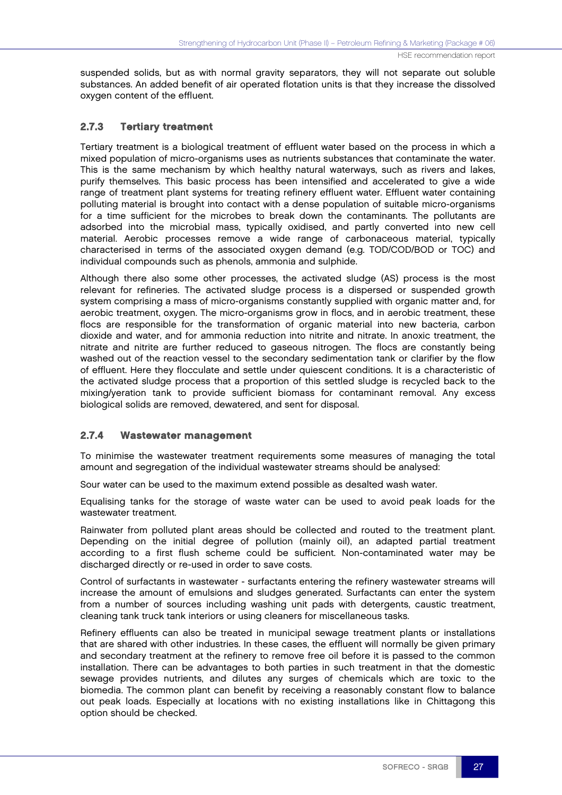suspended solids, but as with normal gravity separators, they will not separate out soluble substances. An added benefit of air operated flotation units is that they increase the dissolved oxygen content of the effluent.

#### 2.7.3 Tertiary treatment

Tertiary treatment is a biological treatment of effluent water based on the process in which a mixed population of micro-organisms uses as nutrients substances that contaminate the water. This is the same mechanism by which healthy natural waterways, such as rivers and lakes, purify themselves. This basic process has been intensified and accelerated to give a wide range of treatment plant systems for treating refinery effluent water. Effluent water containing polluting material is brought into contact with a dense population of suitable micro-organisms for a time sufficient for the microbes to break down the contaminants. The pollutants are adsorbed into the microbial mass, typically oxidised, and partly converted into new cell material. Aerobic processes remove a wide range of carbonaceous material, typically characterised in terms of the associated oxygen demand (e.g. TOD/COD/BOD or TOC) and individual compounds such as phenols, ammonia and sulphide.

Although there also some other processes, the activated sludge (AS) process is the most relevant for refineries. The activated sludge process is a dispersed or suspended growth system comprising a mass of micro-organisms constantly supplied with organic matter and, for aerobic treatment, oxygen. The micro-organisms grow in flocs, and in aerobic treatment, these flocs are responsible for the transformation of organic material into new bacteria, carbon dioxide and water, and for ammonia reduction into nitrite and nitrate. In anoxic treatment, the nitrate and nitrite are further reduced to gaseous nitrogen. The flocs are constantly being washed out of the reaction vessel to the secondary sedimentation tank or clarifier by the flow of effluent. Here they flocculate and settle under quiescent conditions. It is a characteristic of the activated sludge process that a proportion of this settled sludge is recycled back to the mixing/yeration tank to provide sufficient biomass for contaminant removal. Any excess biological solids are removed, dewatered, and sent for disposal.

#### 2.7.4 Wastewater management

To minimise the wastewater treatment requirements some measures of managing the total amount and segregation of the individual wastewater streams should be analysed:

Sour water can be used to the maximum extend possible as desalted wash water.

Equalising tanks for the storage of waste water can be used to avoid peak loads for the wastewater treatment.

Rainwater from polluted plant areas should be collected and routed to the treatment plant. Depending on the initial degree of pollution (mainly oil), an adapted partial treatment according to a first flush scheme could be sufficient. Non-contaminated water may be discharged directly or re-used in order to save costs.

Control of surfactants in wastewater - surfactants entering the refinery wastewater streams will increase the amount of emulsions and sludges generated. Surfactants can enter the system from a number of sources including washing unit pads with detergents, caustic treatment, cleaning tank truck tank interiors or using cleaners for miscellaneous tasks.

Refinery effluents can also be treated in municipal sewage treatment plants or installations that are shared with other industries. In these cases, the effluent will normally be given primary and secondary treatment at the refinery to remove free oil before it is passed to the common installation. There can be advantages to both parties in such treatment in that the domestic sewage provides nutrients, and dilutes any surges of chemicals which are toxic to the biomedia. The common plant can benefit by receiving a reasonably constant flow to balance out peak loads. Especially at locations with no existing installations like in Chittagong this option should be checked.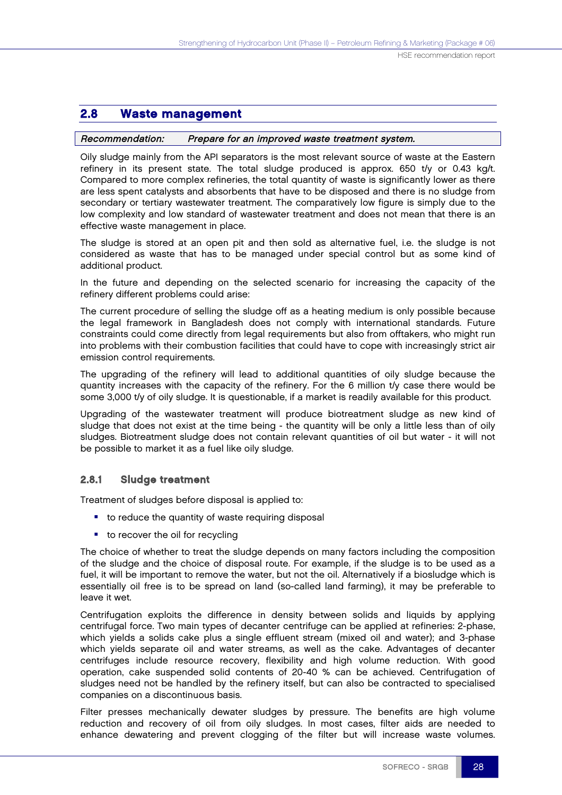### 2.8 Waste management

#### Recommendation: Prepare for an improved waste treatment system.

Oily sludge mainly from the API separators is the most relevant source of waste at the Eastern refinery in its present state. The total sludge produced is approx. 650 t/y or 0.43 kg/t. Compared to more complex refineries, the total quantity of waste is significantly lower as there are less spent catalysts and absorbents that have to be disposed and there is no sludge from secondary or tertiary wastewater treatment. The comparatively low figure is simply due to the low complexity and low standard of wastewater treatment and does not mean that there is an effective waste management in place.

The sludge is stored at an open pit and then sold as alternative fuel, i.e. the sludge is not considered as waste that has to be managed under special control but as some kind of additional product.

In the future and depending on the selected scenario for increasing the capacity of the refinery different problems could arise:

The current procedure of selling the sludge off as a heating medium is only possible because the legal framework in Bangladesh does not comply with international standards. Future constraints could come directly from legal requirements but also from offtakers, who might run into problems with their combustion facilities that could have to cope with increasingly strict air emission control requirements.

The upgrading of the refinery will lead to additional quantities of oily sludge because the quantity increases with the capacity of the refinery. For the 6 million t/y case there would be some 3,000 t/y of oily sludge. It is questionable, if a market is readily available for this product.

Upgrading of the wastewater treatment will produce biotreatment sludge as new kind of sludge that does not exist at the time being - the quantity will be only a little less than of oily sludges. Biotreatment sludge does not contain relevant quantities of oil but water - it will not be possible to market it as a fuel like oily sludge.

#### 2.8.1 Sludge treatment

Treatment of sludges before disposal is applied to:

- to reduce the quantity of waste requiring disposal
- to recover the oil for recycling

The choice of whether to treat the sludge depends on many factors including the composition of the sludge and the choice of disposal route. For example, if the sludge is to be used as a fuel, it will be important to remove the water, but not the oil. Alternatively if a biosludge which is essentially oil free is to be spread on land (so-called land farming), it may be preferable to leave it wet.

Centrifugation exploits the difference in density between solids and liquids by applying centrifugal force. Two main types of decanter centrifuge can be applied at refineries: 2-phase, which yields a solids cake plus a single effluent stream (mixed oil and water); and 3-phase which yields separate oil and water streams, as well as the cake. Advantages of decanter centrifuges include resource recovery, flexibility and high volume reduction. With good operation, cake suspended solid contents of 20-40 % can be achieved. Centrifugation of sludges need not be handled by the refinery itself, but can also be contracted to specialised companies on a discontinuous basis.

Filter presses mechanically dewater sludges by pressure. The benefits are high volume reduction and recovery of oil from oily sludges. In most cases, filter aids are needed to enhance dewatering and prevent clogging of the filter but will increase waste volumes.